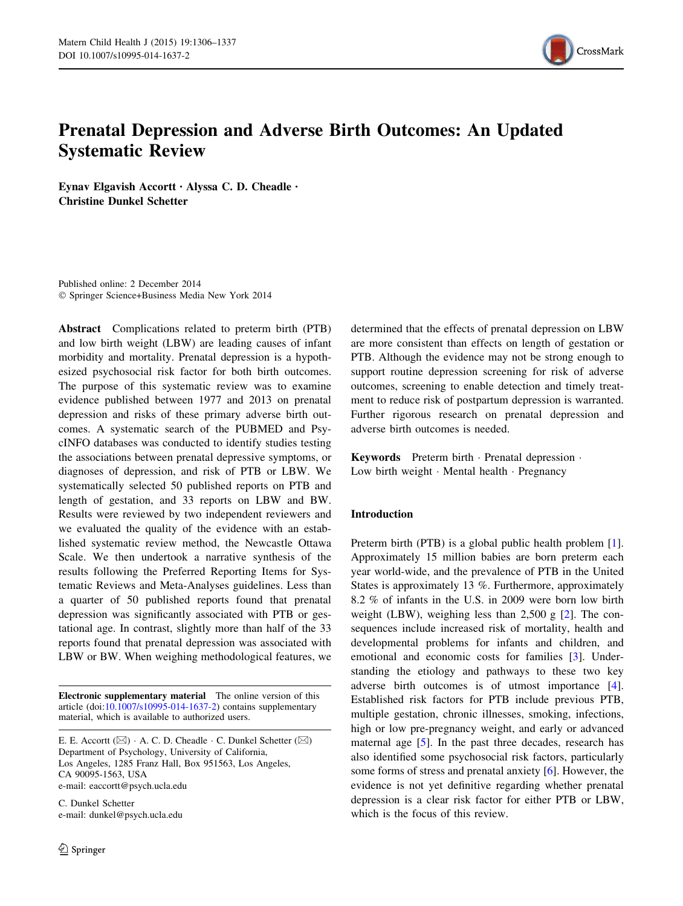

# Prenatal Depression and Adverse Birth Outcomes: An Updated Systematic Review

Eynav Elgavish Accortt • Alyssa C. D. Cheadle • Christine Dunkel Schetter

Published online: 2 December 2014 - Springer Science+Business Media New York 2014

Abstract Complications related to preterm birth (PTB) and low birth weight (LBW) are leading causes of infant morbidity and mortality. Prenatal depression is a hypothesized psychosocial risk factor for both birth outcomes. The purpose of this systematic review was to examine evidence published between 1977 and 2013 on prenatal depression and risks of these primary adverse birth outcomes. A systematic search of the PUBMED and PsycINFO databases was conducted to identify studies testing the associations between prenatal depressive symptoms, or diagnoses of depression, and risk of PTB or LBW. We systematically selected 50 published reports on PTB and length of gestation, and 33 reports on LBW and BW. Results were reviewed by two independent reviewers and we evaluated the quality of the evidence with an established systematic review method, the Newcastle Ottawa Scale. We then undertook a narrative synthesis of the results following the Preferred Reporting Items for Systematic Reviews and Meta-Analyses guidelines. Less than a quarter of 50 published reports found that prenatal depression was significantly associated with PTB or gestational age. In contrast, slightly more than half of the 33 reports found that prenatal depression was associated with LBW or BW. When weighing methodological features, we

Electronic supplementary material The online version of this article (doi:[10.1007/s10995-014-1637-2\)](http://dx.doi.org/10.1007/s10995-014-1637-2) contains supplementary material, which is available to authorized users.

E. E. Accortt ( $\boxtimes$ ) · A. C. D. Cheadle · C. Dunkel Schetter ( $\boxtimes$ ) Department of Psychology, University of California, Los Angeles, 1285 Franz Hall, Box 951563, Los Angeles, CA 90095-1563, USA e-mail: eaccortt@psych.ucla.edu

C. Dunkel Schetter e-mail: dunkel@psych.ucla.edu determined that the effects of prenatal depression on LBW are more consistent than effects on length of gestation or PTB. Although the evidence may not be strong enough to support routine depression screening for risk of adverse outcomes, screening to enable detection and timely treatment to reduce risk of postpartum depression is warranted. Further rigorous research on prenatal depression and adverse birth outcomes is needed.

Keywords Preterm birth - Prenatal depression - Low birth weight · Mental health · Pregnancy

## Introduction

Preterm birth (PTB) is a global public health problem [\[1](#page-27-0)]. Approximately 15 million babies are born preterm each year world-wide, and the prevalence of PTB in the United States is approximately 13 %. Furthermore, approximately 8.2 % of infants in the U.S. in 2009 were born low birth weight (LBW), weighing less than 2,500 g [\[2](#page-27-0)]. The consequences include increased risk of mortality, health and developmental problems for infants and children, and emotional and economic costs for families [[3\]](#page-27-0). Understanding the etiology and pathways to these two key adverse birth outcomes is of utmost importance [\[4](#page-27-0)]. Established risk factors for PTB include previous PTB, multiple gestation, chronic illnesses, smoking, infections, high or low pre-pregnancy weight, and early or advanced maternal age [[5\]](#page-27-0). In the past three decades, research has also identified some psychosocial risk factors, particularly some forms of stress and prenatal anxiety [\[6](#page-27-0)]. However, the evidence is not yet definitive regarding whether prenatal depression is a clear risk factor for either PTB or LBW, which is the focus of this review.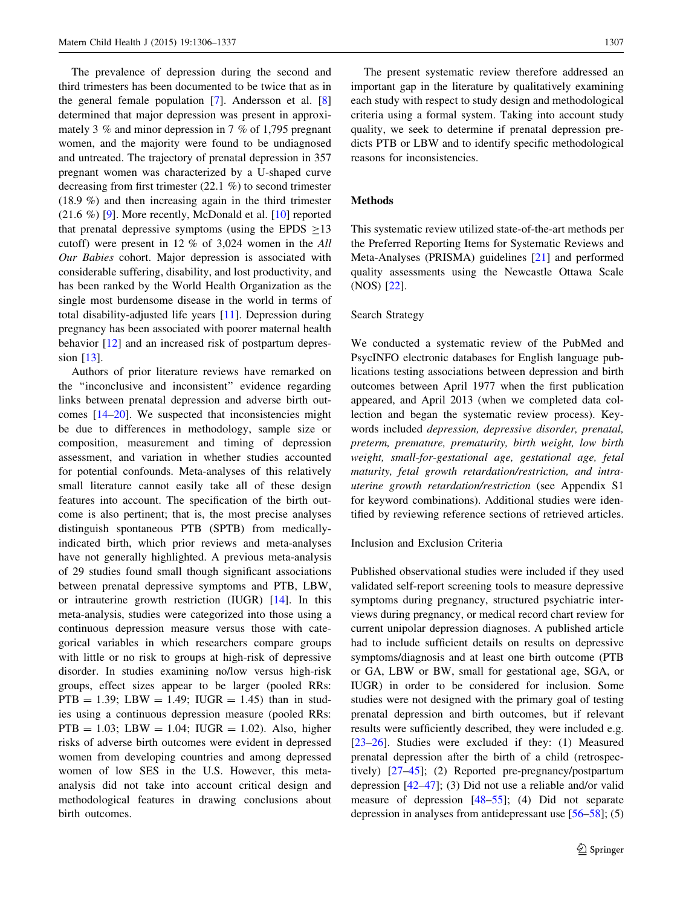The prevalence of depression during the second and third trimesters has been documented to be twice that as in the general female population [[7\]](#page-27-0). Andersson et al. [[8\]](#page-27-0) determined that major depression was present in approximately 3 % and minor depression in 7 % of 1,795 pregnant women, and the majority were found to be undiagnosed and untreated. The trajectory of prenatal depression in 357 pregnant women was characterized by a U-shaped curve decreasing from first trimester (22.1 %) to second trimester (18.9 %) and then increasing again in the third trimester (21.6 %) [[9\]](#page-27-0). More recently, McDonald et al. [[10\]](#page-27-0) reported that prenatal depressive symptoms (using the EPDS  $>13$ ) cutoff) were present in 12 % of 3,024 women in the All Our Babies cohort. Major depression is associated with considerable suffering, disability, and lost productivity, and has been ranked by the World Health Organization as the single most burdensome disease in the world in terms of total disability-adjusted life years [\[11](#page-27-0)]. Depression during pregnancy has been associated with poorer maternal health behavior [[12\]](#page-27-0) and an increased risk of postpartum depression [\[13](#page-27-0)].

Authors of prior literature reviews have remarked on the ''inconclusive and inconsistent'' evidence regarding links between prenatal depression and adverse birth outcomes [\[14–20](#page-27-0)]. We suspected that inconsistencies might be due to differences in methodology, sample size or composition, measurement and timing of depression assessment, and variation in whether studies accounted for potential confounds. Meta-analyses of this relatively small literature cannot easily take all of these design features into account. The specification of the birth outcome is also pertinent; that is, the most precise analyses distinguish spontaneous PTB (SPTB) from medicallyindicated birth, which prior reviews and meta-analyses have not generally highlighted. A previous meta-analysis of 29 studies found small though significant associations between prenatal depressive symptoms and PTB, LBW, or intrauterine growth restriction (IUGR) [[14\]](#page-27-0). In this meta-analysis, studies were categorized into those using a continuous depression measure versus those with categorical variables in which researchers compare groups with little or no risk to groups at high-risk of depressive disorder. In studies examining no/low versus high-risk groups, effect sizes appear to be larger (pooled RRs:  $PTB = 1.39$ ; LBW = 1.49; IUGR = 1.45) than in studies using a continuous depression measure (pooled RRs:  $PTB = 1.03$ ;  $LBW = 1.04$ ;  $IUGR = 1.02$ ). Also, higher risks of adverse birth outcomes were evident in depressed women from developing countries and among depressed women of low SES in the U.S. However, this metaanalysis did not take into account critical design and methodological features in drawing conclusions about birth outcomes.

The present systematic review therefore addressed an important gap in the literature by qualitatively examining each study with respect to study design and methodological criteria using a formal system. Taking into account study quality, we seek to determine if prenatal depression predicts PTB or LBW and to identify specific methodological reasons for inconsistencies.

## Methods

This systematic review utilized state-of-the-art methods per the Preferred Reporting Items for Systematic Reviews and Meta-Analyses (PRISMA) guidelines [[21\]](#page-27-0) and performed quality assessments using the Newcastle Ottawa Scale (NOS) [\[22](#page-27-0)].

#### Search Strategy

We conducted a systematic review of the PubMed and PsycINFO electronic databases for English language publications testing associations between depression and birth outcomes between April 1977 when the first publication appeared, and April 2013 (when we completed data collection and began the systematic review process). Keywords included depression, depressive disorder, prenatal, preterm, premature, prematurity, birth weight, low birth weight, small-for-gestational age, gestational age, fetal maturity, fetal growth retardation/restriction, and intrauterine growth retardation/restriction (see Appendix S1 for keyword combinations). Additional studies were identified by reviewing reference sections of retrieved articles.

## Inclusion and Exclusion Criteria

Published observational studies were included if they used validated self-report screening tools to measure depressive symptoms during pregnancy, structured psychiatric interviews during pregnancy, or medical record chart review for current unipolar depression diagnoses. A published article had to include sufficient details on results on depressive symptoms/diagnosis and at least one birth outcome (PTB or GA, LBW or BW, small for gestational age, SGA, or IUGR) in order to be considered for inclusion. Some studies were not designed with the primary goal of testing prenatal depression and birth outcomes, but if relevant results were sufficiently described, they were included e.g. [\[23–26](#page-27-0)]. Studies were excluded if they: (1) Measured prenatal depression after the birth of a child (retrospectively) [[27–](#page-27-0)[45\]](#page-28-0); (2) Reported pre-pregnancy/postpartum depression [\[42–47](#page-28-0)]; (3) Did not use a reliable and/or valid measure of depression [\[48](#page-28-0)–[55\]](#page-28-0); (4) Did not separate depression in analyses from antidepressant use [[56–58\]](#page-28-0); (5)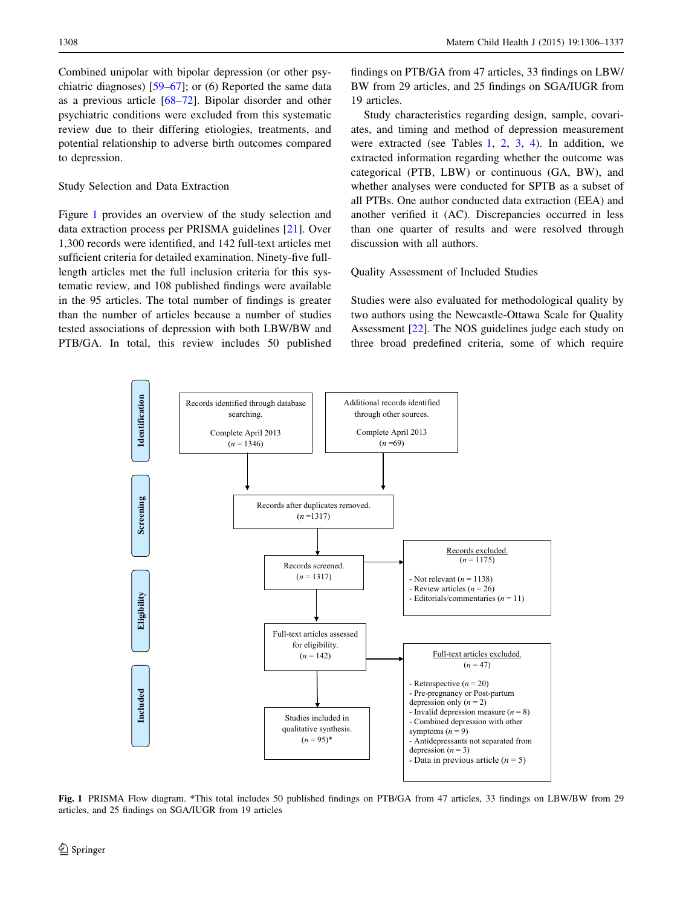Combined unipolar with bipolar depression (or other psychiatric diagnoses) [\[59](#page-28-0)[–67](#page-29-0)]; or (6) Reported the same data as a previous article [[68–72\]](#page-29-0). Bipolar disorder and other psychiatric conditions were excluded from this systematic review due to their differing etiologies, treatments, and potential relationship to adverse birth outcomes compared to depression.

## Study Selection and Data Extraction

Figure 1 provides an overview of the study selection and data extraction process per PRISMA guidelines [\[21](#page-27-0)]. Over 1,300 records were identified, and 142 full-text articles met sufficient criteria for detailed examination. Ninety-five fulllength articles met the full inclusion criteria for this systematic review, and 108 published findings were available in the 95 articles. The total number of findings is greater than the number of articles because a number of studies tested associations of depression with both LBW/BW and PTB/GA. In total, this review includes 50 published

findings on PTB/GA from 47 articles, 33 findings on LBW/ BW from 29 articles, and 25 findings on SGA/IUGR from 19 articles.

Study characteristics regarding design, sample, covariates, and timing and method of depression measurement were extracted (see Tables [1](#page-3-0), [2,](#page-7-0) [3,](#page-15-0) [4](#page-18-0)). In addition, we extracted information regarding whether the outcome was categorical (PTB, LBW) or continuous (GA, BW), and whether analyses were conducted for SPTB as a subset of all PTBs. One author conducted data extraction (EEA) and another verified it (AC). Discrepancies occurred in less than one quarter of results and were resolved through discussion with all authors.

## Quality Assessment of Included Studies

Studies were also evaluated for methodological quality by two authors using the Newcastle-Ottawa Scale for Quality Assessment [\[22](#page-27-0)]. The NOS guidelines judge each study on three broad predefined criteria, some of which require



Fig. 1 PRISMA Flow diagram. \*This total includes 50 published findings on PTB/GA from 47 articles, 33 findings on LBW/BW from 29 articles, and 25 findings on SGA/IUGR from 19 articles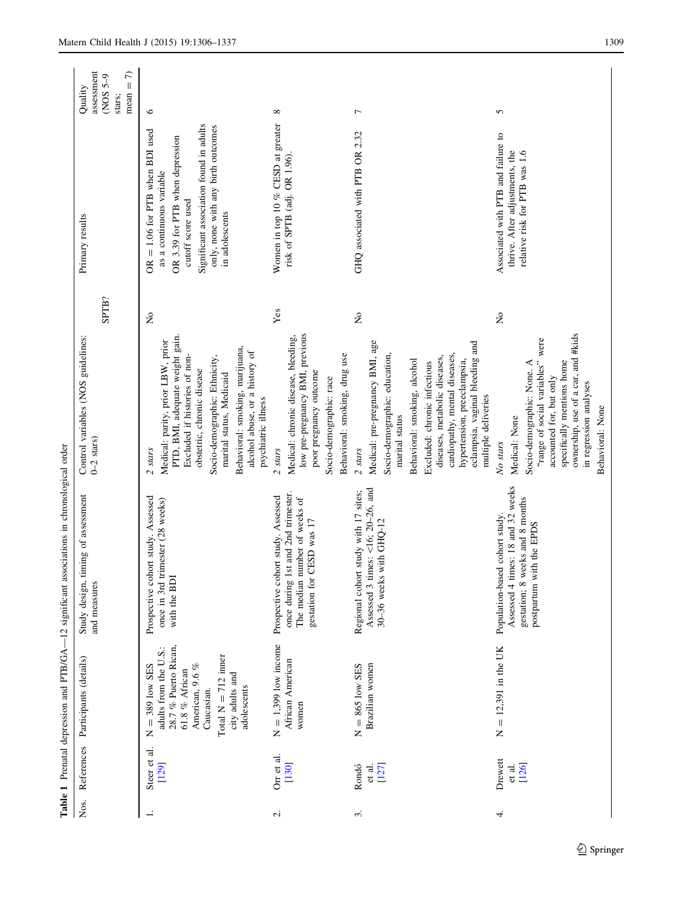<span id="page-3-0"></span>

|              |                            |                                                                                                                                                                                     | <b>Table 1</b> Prenatal depression and $PTB/GA-12$ significant associations in chronological order                                     |                                                                                                                                                                                                                                                                                                                          |                       |                                                                                                                                                                                                                          |                                                             |
|--------------|----------------------------|-------------------------------------------------------------------------------------------------------------------------------------------------------------------------------------|----------------------------------------------------------------------------------------------------------------------------------------|--------------------------------------------------------------------------------------------------------------------------------------------------------------------------------------------------------------------------------------------------------------------------------------------------------------------------|-----------------------|--------------------------------------------------------------------------------------------------------------------------------------------------------------------------------------------------------------------------|-------------------------------------------------------------|
| Nos.         | References                 | Participants (details)                                                                                                                                                              | Study design, timing of assessment<br>and measures                                                                                     | Control variables (NOS guidelines:<br>$0-2$ stars)                                                                                                                                                                                                                                                                       | SPTB?                 | Primary results                                                                                                                                                                                                          | assessment<br>$= 7$<br>$(C-5)$<br>Quality<br>mean<br>stars; |
|              | Steer et al.<br>[129]      | 28.7 % Puerto Rican,<br>adults from the U.S.:<br>Total $N = 712$ inner<br>American, 9.6 $\%$<br>$N = 389$ low SES<br>61.8 % African<br>city adults and<br>adolescents<br>Caucasian. | Prospective cohort study. Assessed<br>once in 3rd trimester (28 weeks)<br>with the BDI                                                 | PTD, BMI, adequate weight gain.<br>Medical: parity, prior LBW, prior<br>Behavioral: smoking, marijuana,<br>alcohol abuse, or a history of<br>Excluded if histories of non-<br>Socio-demographic: Ethnicity,<br>obstetric, chronic disease<br>marital status, Medicaid<br>psychiatric illness<br>2 stars                  | $\mathop{\mathsf{S}}$ | Significant association found in adults<br>only, none with any birth outcomes<br>$OR = 1.06$ for PTB when BDI used<br>OR 3.39 for PTB when depression<br>as a continuous variable<br>cutoff score used<br>in adolescents | $\circ$                                                     |
| $\mathbf{C}$ | Orr et al.<br>[130]        | $N = 1,399$ low income<br>African American<br>women                                                                                                                                 | once during 1st and 2nd trimester.<br>Prospective cohort study. Assessed<br>The median number of weeks of<br>gestation for CESD was 17 | low pre-pregnancy BMI, previous<br>Medical: chronic disease, bleeding,<br>Behavioral: smoking, drug use<br>poor pregnancy outcome<br>Socio-demographic: race<br>2 stars                                                                                                                                                  | Yes                   | Women in top 10 % CESD at greater<br>risk of SPTB (adj. OR 1.96).                                                                                                                                                        | ${}^{\circ}$                                                |
| 3            | Rondó<br>$[127]$<br>et al. | Brazilian women<br>$N = 865$ low SES                                                                                                                                                | Assessed 3 times: $<$ 16; 20-26, and<br>study with 17 sites;<br>30-36 weeks with GHQ-12<br>Regional cohort                             | Medical: pre-pregnancy BMI, age<br>eclampsia, vaginal bleeding and<br>cardiopathy, mental diseases,<br>Socio-demographic: education,<br>diseases, metabolic diseases,<br>hypertension, preeclampsia,<br>Behavioral: smoking, alcohol<br>Excluded: chronic infectious<br>multiple deliveries<br>marital status<br>2 stars | $\tilde{z}$           | GHQ associated with PTB OR 2.32                                                                                                                                                                                          | $\overline{ }$                                              |
|              | Drewett<br>[126]<br>et al. | $= 12,391$ in the UK<br>Z                                                                                                                                                           | Assessed 4 times: 18 and 32 weeks<br>gestation; 8 weeks and 8 months<br>Population-based cohort study.<br>postpartum with the EPDS     | ownership, use of a car, and #kids<br>were<br>specifically mentions home<br>Socio-demographic: None. A<br>"range of social variables"<br>accounted for, but only<br>in regression analyses<br>Behavioral: None<br>Medical: None<br>No stars                                                                              | $\tilde{z}$           | Associated with PTB and failure to<br>thrive. After adjustments, the<br>relative risk for PTB was 1.6                                                                                                                    | 5                                                           |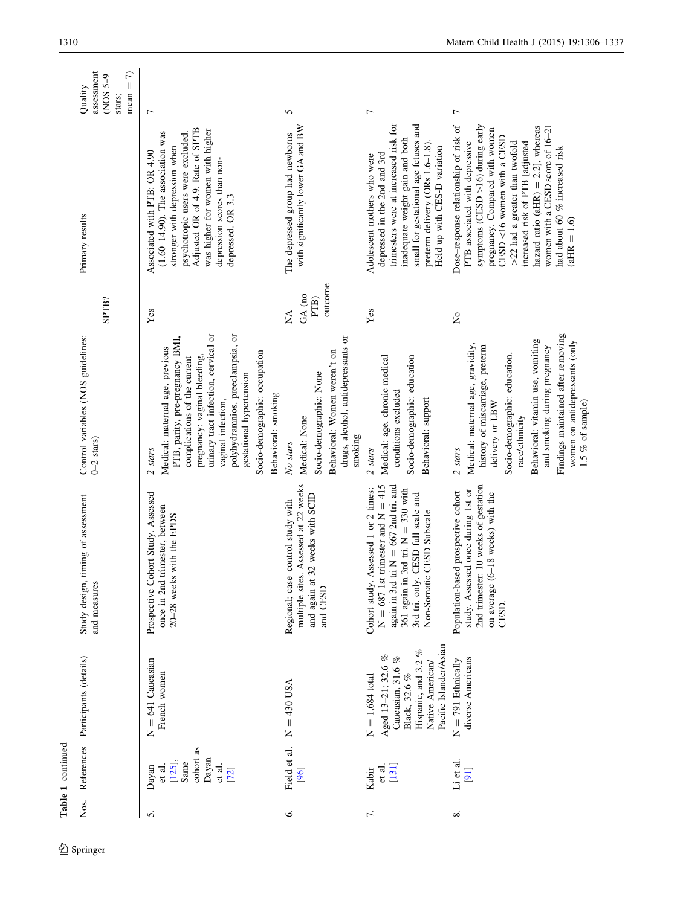| Table 1 continued                                                        |                                                                                                                                                      |                                                                                                                                                                                                                                           |                                                                                                                                                                                                                                                                                                                                     |                                          |                                                                                                                                                                                                                                                                                                                                                                                      |                                                                                         |
|--------------------------------------------------------------------------|------------------------------------------------------------------------------------------------------------------------------------------------------|-------------------------------------------------------------------------------------------------------------------------------------------------------------------------------------------------------------------------------------------|-------------------------------------------------------------------------------------------------------------------------------------------------------------------------------------------------------------------------------------------------------------------------------------------------------------------------------------|------------------------------------------|--------------------------------------------------------------------------------------------------------------------------------------------------------------------------------------------------------------------------------------------------------------------------------------------------------------------------------------------------------------------------------------|-----------------------------------------------------------------------------------------|
| References                                                               | Participants (details)                                                                                                                               | timing of assessment<br>and measures<br>Study design,                                                                                                                                                                                     | Control variables (NOS guidelines:<br>$0-2$ stars)                                                                                                                                                                                                                                                                                  | SPTB?                                    | Primary results                                                                                                                                                                                                                                                                                                                                                                      | $\widehat{\tau}$<br>assessment<br>(NOS 5-9<br>$\mathbf{I}$<br>Quality<br>mean<br>stars; |
| cohort as<br>Dayan<br>[125]<br>Same<br>et al.<br>et al.<br>Dayan<br>[72] | $N = 641$ Caucasian<br>French women                                                                                                                  | Prospective Cohort Study. Assessed<br>once in 2nd trimester, between<br>20-28 weeks with the EPDS                                                                                                                                         | polyhydramnios, preeclampsia, or<br>urinary tract infection, cervical or<br>PTB, parity, pre-pregnancy BMI,<br>Medical: maternal age, previous<br>Socio-demographic: occupation<br>pregnancy: vaginal bleeding,<br>complications of the current<br>gestational hypertension<br>Behavioral: smoking<br>vaginal infection,<br>2 stars | Yes                                      | Adjusted OR of 4.9. Rate of SPTB<br>was higher for women with higher<br>$(1.60-14.90)$ . The association was<br>psychotropic users were excluded.<br>stronger with depression when<br>Associated with PTB: OR 4.90<br>depression scores than non-<br>depressed. OR 3.3                                                                                                               | $\overline{ }$                                                                          |
| Field et al.<br>[96]                                                     | $N = 430$ USA                                                                                                                                        | multiple sites. Assessed at 22 weeks<br>32 weeks with SCID<br>Regional; case-control study with<br>and again at<br>and CESD                                                                                                               | drugs, alcohol, antidepressants or<br>Behavioral: Women weren't on<br>Socio-demographic: None<br>Medical: None<br>smoking<br>No stars                                                                                                                                                                                               | outcome<br>GA (no<br>PTB)<br>$\tilde{R}$ | with significantly lower GA and BW<br>The depressed group had newborns                                                                                                                                                                                                                                                                                                               | 5                                                                                       |
| $[131]$<br>et al.<br>Kabir                                               | Pacific Islander/Asian<br>Hispanic, and 3.2 %<br>Aged 13-21; 32.6 %<br>Caucasian, 31.6 $%$<br>Native American/<br>Black, 32.6 %<br>$N = 1,684$ total | $N = 687$ 1st trimester and $N = 415$<br>again in 3rd tri $N = 667$ 2nd tri. and<br>Assessed 1 or 2 times:<br>361 again in 3rd tri. $N = 330$ with<br>CESD full scale and<br>Non-Somatic CESD Subscale<br>Cohort study.<br>3rd tri. only. | Socio-demographic: education<br>Medical: age, chronic medical<br>conditions excluded<br>Behavioral: support<br>2 stars                                                                                                                                                                                                              | Yes                                      | trimesters were at increased risk for<br>small for gestational age fetuses and<br>inadequate weight gain and both<br>preterm delivery (ORs 1.6-1.8)<br>Held up with CES-D variation<br>depressed in the 2nd and 3rd<br>Adolescent mothers who were                                                                                                                                   | 1                                                                                       |
| Li et al.<br>[91]                                                        | diverse Americans<br>$N = 791$ Ethnically                                                                                                            | 2nd trimester: 10 weeks of gestation<br>study. Assessed once during 1st or<br>Population-based prospective cohort<br>$(6-18$ weeks) with the<br>on average (<br>CESD.                                                                     | Findings maintained after removing<br>Behavioral: vitamin use, vomiting<br>women on antidepressants (only<br>Medical: maternal age, gravidity,<br>history of miscarriage, preterm<br>and smoking during pregnancy<br>Socio-demographic: education,<br>1.5 % of sample)<br>delivery or LBW<br>race/ethnicity<br>2 stars              | $\tilde{z}$                              | Dose-response relationship of risk of<br>symptoms ( $CESD > 16$ ) during early<br>hazard ratio (aHR) = $2.2$ ], whereas<br>women with a CESD score of 16-21<br>pregnancy. Compared with women<br>CESD <16 women with a CESD<br>PTB associated with depressive<br>>22 had a greater than twofold<br>increased risk of PTB [adjusted<br>had about 60 % increased risk<br>$(aHR = 1.6)$ | $\overline{ }$                                                                          |

 $\underline{\textcircled{\tiny 2}}$  Springer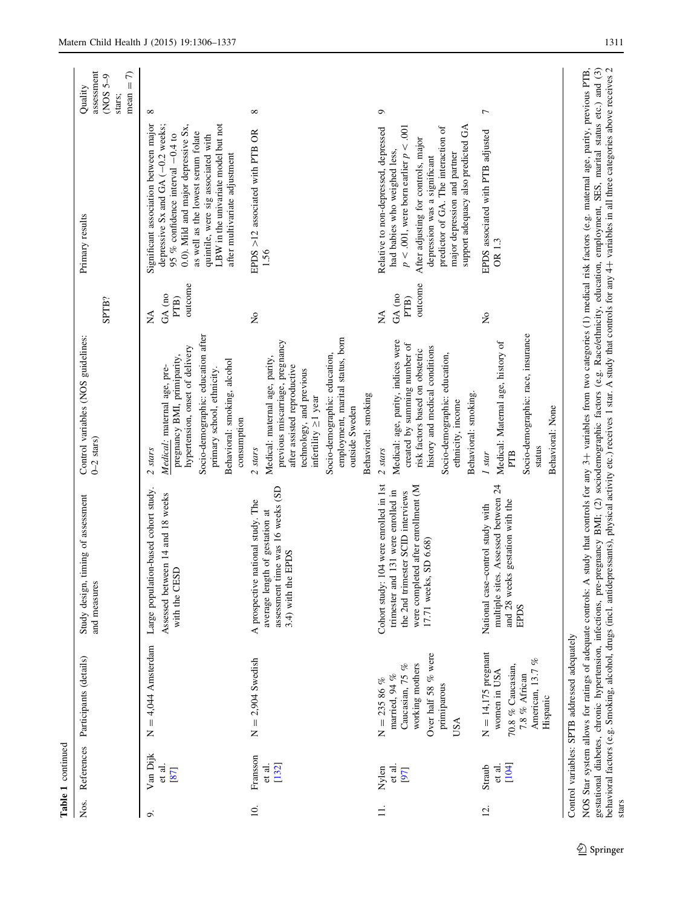|          | Table 1 continued           |                                                                                                                     |                                                                                                                                                                                                                                |                                                                                                                                                                                                                                                                                    |                                                        |                                                                                                                                                                                                                                                                                                                 |                                                                                          |
|----------|-----------------------------|---------------------------------------------------------------------------------------------------------------------|--------------------------------------------------------------------------------------------------------------------------------------------------------------------------------------------------------------------------------|------------------------------------------------------------------------------------------------------------------------------------------------------------------------------------------------------------------------------------------------------------------------------------|--------------------------------------------------------|-----------------------------------------------------------------------------------------------------------------------------------------------------------------------------------------------------------------------------------------------------------------------------------------------------------------|------------------------------------------------------------------------------------------|
| Nos.     | References                  | Participants (details)                                                                                              | Study design, timing of assessment<br>and measures                                                                                                                                                                             | Control variables (NOS guidelines:<br>$0-2$ stars)                                                                                                                                                                                                                                 | SPTB?                                                  | Primary results                                                                                                                                                                                                                                                                                                 | assessment<br>$\widehat{\tau}$<br>$O-5$ SON)<br>$\parallel$<br>Quality<br>mean<br>stars; |
| $\circ$  | Van Dijk<br>et al.<br>[87]  | $N = 4,044$ Amsterdam                                                                                               | Large population-based cohort study.<br>Assessed between 14 and 18 weeks<br>with the CESD                                                                                                                                      | Socio-demographic: education after<br>hypertension, onset of delivery<br>pregnancy BMI, primiparity,<br>Behavioral: smoking, alcohol<br>Medical: maternal age, pre-<br>primary school, ethnicity.<br>consumption<br>2 <sub>stars</sub>                                             | outcome<br>GA (no<br>PTB)<br>$\mathbb{A}^{\mathsf{A}}$ | Significant association between major<br>LBW in the univariate model but not<br>0.0). Mild and major depressive Sx,<br>depressive $Sx$ and $GA$ (-0.2 weeks;<br>as well as the lowest serum folate<br>95 % confidence interval $-0.4$ to<br>quintile, were sig associated with<br>after multivariate adjustment | $^{\circ}$                                                                               |
| 10.      | Fransson<br>et al.<br>[132] | $N = 2,904$ Swedish                                                                                                 | assessment time was 16 weeks (SD<br>national study. The<br>average length of gestation at<br><b>EPDS</b><br>3.4) with the<br>A prospective                                                                                     | employment, marital status, born<br>previous miscarriage, pregnancy<br>Socio-demographic: education,<br>Medical: maternal age, parity,<br>after assisted reproductive<br>technology, and previous<br>Behavioral: smoking<br>infertility $\geq$ 1 year<br>outside Sweden<br>2 stars | ž                                                      | EPDS >12 associated with PTB OR<br>1.56                                                                                                                                                                                                                                                                         | ∞                                                                                        |
| $\equiv$ | et al.<br>Nylen<br>[97]     | Over half 58 % were<br>working mothers<br>Caucasian, 75 %<br>married, 94 $\%$<br>$N = 23586%$<br>primiparous<br>USA | 04 were enrolled in 1st<br>were completed after enrollment (M<br>trimester and 131 were enrolled in<br>the 2nd trimester SCID interviews<br>SD 6.68)<br>17.71 weeks,<br>Cohort study: 1                                        | Medical: age, parity, indices were<br>created by summing number of<br>history and medical conditions<br>risk factors based on obstetric<br>Socio-demographic: education,<br>Behavioral: smoking.<br>ethnicity, income<br>2 stars                                                   | outcome<br>GA (no<br>PTB)<br>$\mathbb{\tilde{A}}$      | support adequacy also predicted GA<br>$p < .001$ , were born earlier $p < .001$<br>predictor of GA. The interaction of<br>Relative to non-depressed, depressed<br>After adjusting for controls, major<br>had babies who weighed less,<br>major depression and partner<br>depression was a significant           | G                                                                                        |
| 12.      | [104]<br>et al.<br>Straub   | $N = 14,175$ pregnant<br>American, 13.7 %<br>70.8 % Caucasian,<br>women in USA<br>7.8 % African<br>Hispanic         | multiple sites. Assessed between 24<br>and 28 weeks gestation with the<br>National case-control study with<br>EPDS                                                                                                             | Socio-demographic: race, insurance<br>Medical: Maternal age, history of<br>Behavioral: None<br>status<br>PTB<br>1 star                                                                                                                                                             | $\tilde{z}$                                            | EPDS associated with PTB adjusted<br>OR 1.3                                                                                                                                                                                                                                                                     | $\overline{ }$                                                                           |
|          |                             | NOS Star system allows for ratings of adequate controls: A<br>Control variables: SPTB addressed adequately          | gestational diabetes, chronic hypertension, infections, pre-pregnancy BMI; (2) sociodemographic factors (e.g. Race/ethnicity, education, employment, SES, marital status etc.) and (3) behavioral factors (e.g. Smoking, alcoh |                                                                                                                                                                                                                                                                                    |                                                        | study that controls for any 3+ variables from two categories (1) medical risk factors (e.g. maternal age, parity, previous PTB,                                                                                                                                                                                 |                                                                                          |

 $\underline{\textcircled{\tiny 2}}$  Springer

stars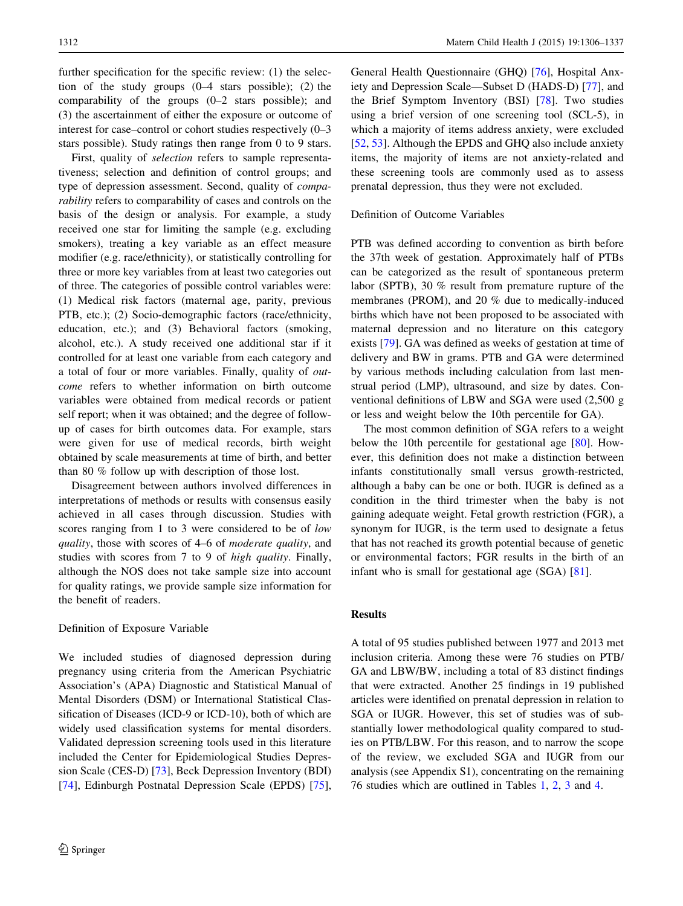further specification for the specific review: (1) the selection of the study groups (0–4 stars possible); (2) the comparability of the groups (0–2 stars possible); and (3) the ascertainment of either the exposure or outcome of interest for case–control or cohort studies respectively (0–3 stars possible). Study ratings then range from 0 to 9 stars.

First, quality of selection refers to sample representativeness; selection and definition of control groups; and type of depression assessment. Second, quality of comparability refers to comparability of cases and controls on the basis of the design or analysis. For example, a study received one star for limiting the sample (e.g. excluding smokers), treating a key variable as an effect measure modifier (e.g. race/ethnicity), or statistically controlling for three or more key variables from at least two categories out of three. The categories of possible control variables were: (1) Medical risk factors (maternal age, parity, previous PTB, etc.); (2) Socio-demographic factors (race/ethnicity, education, etc.); and (3) Behavioral factors (smoking, alcohol, etc.). A study received one additional star if it controlled for at least one variable from each category and a total of four or more variables. Finally, quality of outcome refers to whether information on birth outcome variables were obtained from medical records or patient self report; when it was obtained; and the degree of followup of cases for birth outcomes data. For example, stars were given for use of medical records, birth weight obtained by scale measurements at time of birth, and better than 80 % follow up with description of those lost.

Disagreement between authors involved differences in interpretations of methods or results with consensus easily achieved in all cases through discussion. Studies with scores ranging from 1 to 3 were considered to be of low quality, those with scores of 4–6 of moderate quality, and studies with scores from 7 to 9 of high quality. Finally, although the NOS does not take sample size into account for quality ratings, we provide sample size information for the benefit of readers.

## Definition of Exposure Variable

We included studies of diagnosed depression during pregnancy using criteria from the American Psychiatric Association's (APA) Diagnostic and Statistical Manual of Mental Disorders (DSM) or International Statistical Classification of Diseases (ICD-9 or ICD-10), both of which are widely used classification systems for mental disorders. Validated depression screening tools used in this literature included the Center for Epidemiological Studies Depression Scale (CES-D) [\[73](#page-29-0)], Beck Depression Inventory (BDI) [\[74](#page-29-0)], Edinburgh Postnatal Depression Scale (EPDS) [\[75](#page-29-0)], General Health Questionnaire (GHQ) [[76\]](#page-29-0), Hospital Anxiety and Depression Scale—Subset D (HADS-D) [\[77](#page-29-0)], and the Brief Symptom Inventory (BSI) [[78\]](#page-29-0). Two studies using a brief version of one screening tool (SCL-5), in which a majority of items address anxiety, were excluded [\[52](#page-28-0), [53](#page-28-0)]. Although the EPDS and GHQ also include anxiety items, the majority of items are not anxiety-related and these screening tools are commonly used as to assess prenatal depression, thus they were not excluded.

# Definition of Outcome Variables

PTB was defined according to convention as birth before the 37th week of gestation. Approximately half of PTBs can be categorized as the result of spontaneous preterm labor (SPTB), 30 % result from premature rupture of the membranes (PROM), and 20 % due to medically-induced births which have not been proposed to be associated with maternal depression and no literature on this category exists [[79\]](#page-29-0). GA was defined as weeks of gestation at time of delivery and BW in grams. PTB and GA were determined by various methods including calculation from last menstrual period (LMP), ultrasound, and size by dates. Conventional definitions of LBW and SGA were used (2,500 g or less and weight below the 10th percentile for GA).

The most common definition of SGA refers to a weight below the 10th percentile for gestational age [[80\]](#page-29-0). However, this definition does not make a distinction between infants constitutionally small versus growth-restricted, although a baby can be one or both. IUGR is defined as a condition in the third trimester when the baby is not gaining adequate weight. Fetal growth restriction (FGR), a synonym for IUGR, is the term used to designate a fetus that has not reached its growth potential because of genetic or environmental factors; FGR results in the birth of an infant who is small for gestational age (SGA) [[81\]](#page-29-0).

## Results

A total of 95 studies published between 1977 and 2013 met inclusion criteria. Among these were 76 studies on PTB/ GA and LBW/BW, including a total of 83 distinct findings that were extracted. Another 25 findings in 19 published articles were identified on prenatal depression in relation to SGA or IUGR. However, this set of studies was of substantially lower methodological quality compared to studies on PTB/LBW. For this reason, and to narrow the scope of the review, we excluded SGA and IUGR from our analysis (see Appendix S1), concentrating on the remaining 76 studies which are outlined in Tables [1](#page-3-0), [2,](#page-7-0) [3](#page-15-0) and [4.](#page-18-0)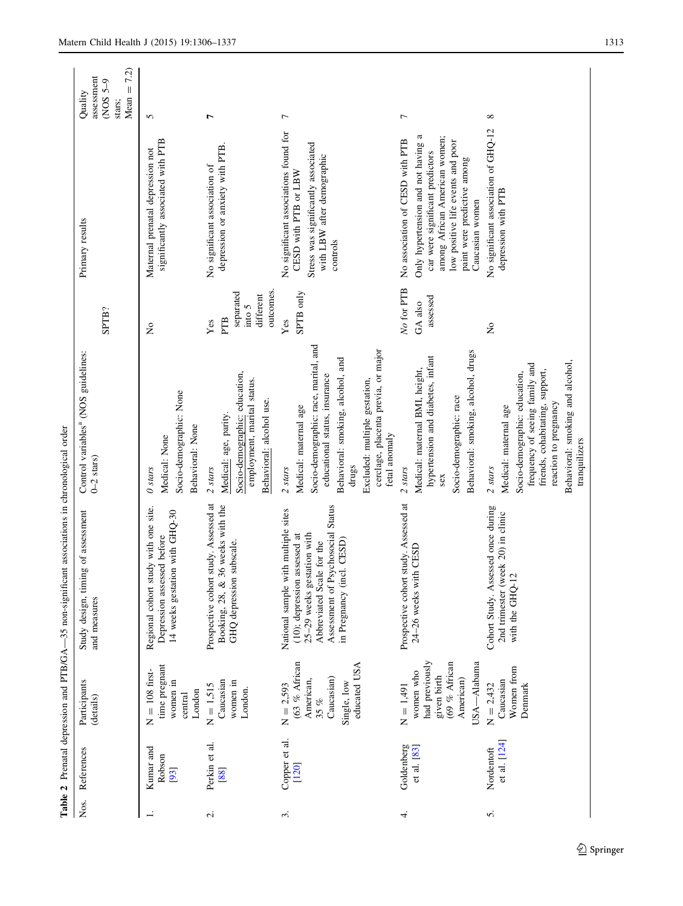<span id="page-7-0"></span>

|        |                             |                                                                                                          | Table 2 Prenatal depression and PTB/GA-35 non-significant associations in chronological order                                                                                                    |                                                                                                                                                                                                                                                     |                                                                         |                                                                                                                                                                                                                                     |                                                                 |
|--------|-----------------------------|----------------------------------------------------------------------------------------------------------|--------------------------------------------------------------------------------------------------------------------------------------------------------------------------------------------------|-----------------------------------------------------------------------------------------------------------------------------------------------------------------------------------------------------------------------------------------------------|-------------------------------------------------------------------------|-------------------------------------------------------------------------------------------------------------------------------------------------------------------------------------------------------------------------------------|-----------------------------------------------------------------|
| Nos.   | References                  | Participants<br>(details)                                                                                | Study design, timing of assessment<br>and measures                                                                                                                                               | Control variables <sup>ª</sup> (NOS guidelines:<br>$0-2$ stars)                                                                                                                                                                                     | SPTB?                                                                   | Primary results                                                                                                                                                                                                                     | 7.2)<br>assessment<br>(NOS 5-9<br>$Mean =$<br>Quality<br>stars; |
|        | Kumar and<br>Robson<br>[93] | time pregnant<br>$= 108$ first-<br>women in<br>London<br>central<br>Z                                    | Regional cohort study with one site.<br>14 weeks gestation with GHQ-30<br>Depression assessed before                                                                                             | Socio-demographic: None<br>Behavioral: None<br>Medical: None<br>$0$ stars                                                                                                                                                                           | $\tilde{z}$                                                             | significantly associated with PTB<br>Maternal prenatal depression not                                                                                                                                                               | $\sigma$                                                        |
| $\sim$ | Perkin et al.<br>[88]       | Caucasian<br>women in<br>$N = 1,515$<br>London.                                                          | Prospective cohort study. Assessed at<br>36 weeks with the<br>GHQ depression subscale.<br>Booking, 28, &                                                                                         | Socio-demographic: education,<br>employment, marital status.<br>Behavioral: alcohol use.<br>Medical: age, parity.<br>2 stars                                                                                                                        | outcomes<br>separated<br>different<br>$\frac{1}{2}$ other<br>PTB<br>Yes | depression or anxiety with PTB<br>No significant association of                                                                                                                                                                     | L                                                               |
| S.     | Copper et al.<br>[120]      | (63 % African<br>educated USA<br>Caucasian)<br>American,<br>Single, low<br>$N = 2,593$<br>35%            | Assessment of Psychosocial Status<br>National sample with multiple sites<br>25-29 weeks gestation with<br>(10); depression assessed at<br>in Pregnancy (incl. CESD)<br>Abbreviated Scale for the | Socio-demographic: race, marital, and<br>cerclage, placenta previa, or major<br>Behavioral: smoking, alcohol, and<br>educational status, insurance<br>Excluded: multiple gestation,<br>Medical: maternal age<br>fetal anomaly<br>drugs<br>$2$ stars | SPTB only<br>Yes                                                        | No significant associations found for<br>Stress was significantly associated<br>with LBW after demographic<br>CESD with PTB or LBW<br>controls                                                                                      | $\overline{ }$                                                  |
| 4.     | Goldenberg<br>et al. [83]   | had previously<br>$(69 %$ African<br>USA-Alabama<br>women who<br>given birth<br>American)<br>$N = 1,491$ | Prospective cohort study. Assessed at<br>24-26 weeks with CESD                                                                                                                                   | Behavioral: smoking, alcohol, drugs<br>hypertension and diabetes, infant<br>Medical: maternal BMI, height,<br>Socio-demographic: race<br>$2$ stars<br>sex                                                                                           | No for PTB<br>assessed<br>GA also                                       | a<br>among African American women;<br>No association of CESD with PTB<br>low positive life events and poor<br>Only hypertension and not having<br>car were significant predictors<br>paint were predictive among<br>Caucasian women | $\overline{ }$                                                  |
| s.     | et al. [124]<br>Nordentoft  | Women from<br>Caucasian<br>$N = 2,432$<br>Denmark                                                        | Cohort Study. Assessed once during<br>2nd trimester (week 20) in clinic<br>with the GHQ-12                                                                                                       | Behavioral: smoking and alcohol,<br>frequency of seeing family and<br>friends, cohabitating, support,<br>Socio-demographic: education,<br>reaction to pregnancy<br>Medical: maternal age<br>tranquilizers<br>$2$ stars                              | $\tilde{z}$                                                             | No significant association of GHQ-12<br>depression with PTB                                                                                                                                                                         | $^{\circ}$                                                      |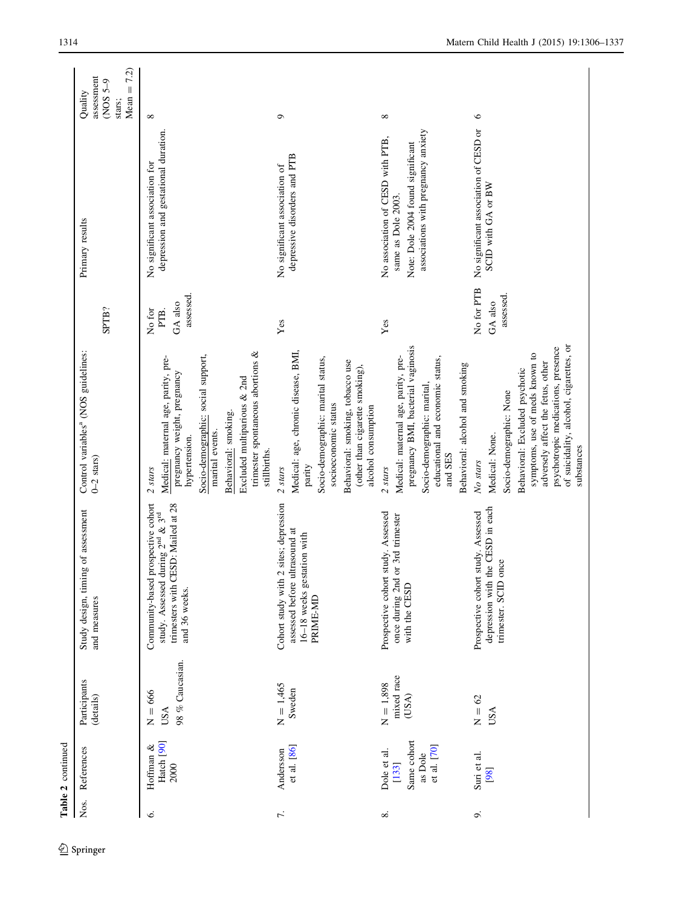|                  | Table 2 continued                                               |                                           |                                                                                                                                            |                                                                                                                                                                                                                                                                     |                                        |                                                                                                                                    |                                                                |
|------------------|-----------------------------------------------------------------|-------------------------------------------|--------------------------------------------------------------------------------------------------------------------------------------------|---------------------------------------------------------------------------------------------------------------------------------------------------------------------------------------------------------------------------------------------------------------------|----------------------------------------|------------------------------------------------------------------------------------------------------------------------------------|----------------------------------------------------------------|
| Nos.             | References                                                      | Participants<br>(details)                 | g of assessment<br>Study design, timin<br>and measures                                                                                     | Control variables <sup>ª</sup> (NOS guidelines:<br>$0-2$ stars)                                                                                                                                                                                                     | SPTB?                                  | Primary results                                                                                                                    | 7.2)<br>assessment<br>$C-SOS$<br>$Mean =$<br>Quality<br>stars; |
| Ġ.               | Hatch [90]<br>Hoffman &<br>2000                                 | 98 % Caucasian.<br>$N = 666$<br>USA       | prospective cohort<br>trimesters with CESD: Mailed at 28<br>study. Assessed during $2^{nd}$ & $3^{rd}$<br>Community-based<br>and 36 weeks. | trimester spontaneous abortions &<br>Socio-demographic: social support,<br>Medical: maternal age, parity, pre-<br>pregnancy weight, pregnancy<br>Excluded multiparious & 2nd<br>Behavioral: smoking.<br>marital events.<br>hypertension.<br>stillbirths.<br>2 stars | assessed.<br>GA also<br>No for<br>PTB. | depression and gestational duration.<br>No significant association for                                                             | $\infty$                                                       |
| $\overline{r}$ . | $et$ al. $[86]$<br>Andersson                                    | $N = 1,465$<br>Sweden                     | Cohort study with 2 sites; depression<br>assessed before ultrasound at<br>16-18 weeks gestation with<br>PRIME-MD                           | Medical: age, chronic disease, BMI,<br>Socio-demographic: marital status,<br>Behavioral: smoking, tobacco use<br>(other than cigarette smoking),<br>socioeconomic status<br>alcohol consumption<br>parity<br>2 stars                                                | Yes                                    | depressive disorders and PTB<br>No significant association of                                                                      | Ó                                                              |
| ∞ं               | Same cohort<br>et al. [70]<br>Dole et al.<br>as Dole<br>$[133]$ | mixed race<br>$\mathrm{N}=1.898$<br>(USA) | study. Assessed<br>once during 2nd or 3rd trimester<br>Prospective cohort<br>with the CESD                                                 | pregnancy BMI, bacterial vaginosis<br>Medical: maternal age, parity, pre-<br>educational and economic status,<br>Behavioral: alcohol and smoking<br>Socio-demographic: marital,<br>and SES<br>2 stars                                                               | Yes                                    | associations with pregnancy anxiety<br>No association of CESD with PTB,<br>Note: Dole 2004 found significant<br>same as Dole 2003. | $\infty$                                                       |
| c.               | Suri et al.<br>[98]                                             | $N = 62$<br>USA                           | depression with the CESD in each<br>study. Assessed<br>trimester. SCID once<br>Prospective cohort                                          | of suicidality, alcohol, cigarettes, or<br>psychotropic medications, presence<br>symptoms, use of meds known to<br>adversely affect the fetus, other<br>Behavioral: Excluded psychotic<br>Socio-demographic: None<br>Medical: None.<br>substances<br>No stars       | No for PTB<br>assessed.<br>GA also     | No significant association of CESD or<br>SCID with GA or BW                                                                        | $\circ$                                                        |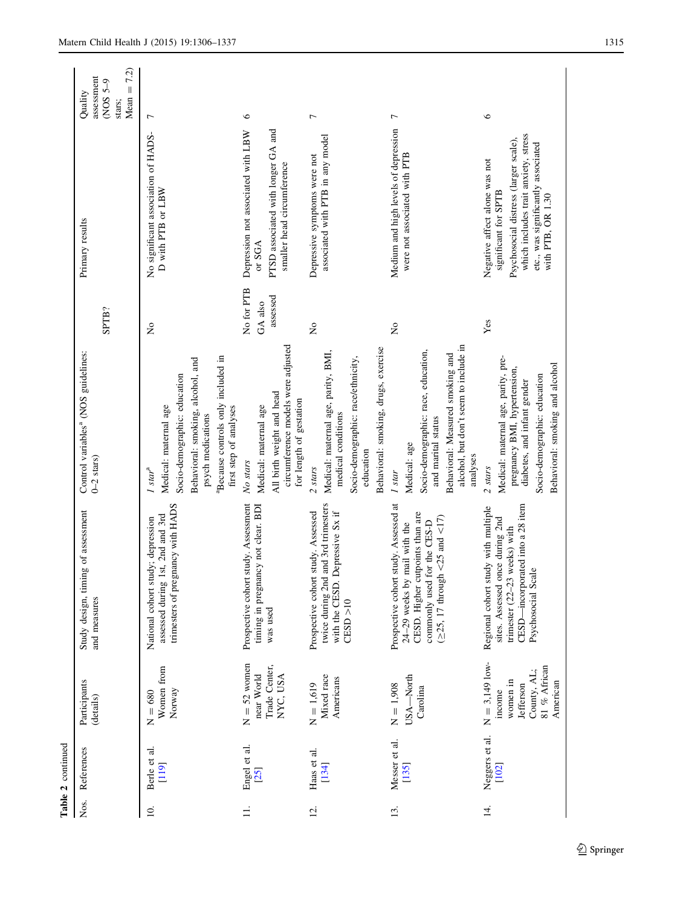|                   | Table 2 continued       |                                                                                                       |                                                                                                                                                                                   |                                                                                                                                                                                                         |                                   |                                                                                                                                                                                                   |                                                                |
|-------------------|-------------------------|-------------------------------------------------------------------------------------------------------|-----------------------------------------------------------------------------------------------------------------------------------------------------------------------------------|---------------------------------------------------------------------------------------------------------------------------------------------------------------------------------------------------------|-----------------------------------|---------------------------------------------------------------------------------------------------------------------------------------------------------------------------------------------------|----------------------------------------------------------------|
| Nos.              | References              | Participants<br>(details)                                                                             | Study design, timing of assessment<br>and measures                                                                                                                                | Control variables <sup>ª</sup> (NOS guidelines:<br>$0-2$ stars)                                                                                                                                         | SPTB?                             | Primary results                                                                                                                                                                                   | $= 7.2$<br>assessment<br>(NOS 5-9<br>Quality<br>Mean<br>stars; |
| $\overline{10}$ . | Berle et al.<br>$[119]$ | Women from<br>Norway<br>$N = 680$                                                                     | trimesters of pregnancy with HADS<br>assessed during 1st, 2nd and 3rd<br>National cohort study; depression                                                                        | Because controls only included in<br>Behavioral: smoking, alcohol, and<br>Socio-demographic: education<br>Medical: maternal age<br>first step of analyses<br>psych medications<br>$1$ star <sup>a</sup> | $\tilde{z}$                       | No significant association of HADS-<br>D with PTB or LBW                                                                                                                                          | $\overline{ }$                                                 |
|                   | Engel et al.<br>[25]    | $N = 52$ women<br>Trade Center,<br>near World<br>NYC, USA                                             | Prospective cohort study. Assessment<br>timing in pregnancy not clear. BDI<br>was used                                                                                            | circumference models were adjusted<br>All birth weight and head<br>for length of gestation<br>Medical: maternal age<br>No stars                                                                         | No for PTB<br>assessed<br>GA also | PTSD associated with longer GA and<br>Depression not associated with LBW<br>smaller head circumference<br>or SGA                                                                                  | $\circ$                                                        |
| 12.               | Haas et al.<br>[134]    | Mixed race<br>Americans<br>$N = 1,619$                                                                | twice during 2nd and 3rd trimesters<br>with the CESD. Depressive Sx if<br>Prospective cohort study. Assessed<br>CESD > 10                                                         | Behavioral: smoking, drugs, exercise<br>Medical: maternal age, parity, BMI,<br>Socio-demographic: race/ethnicity,<br>medical conditions<br>education<br>2 stars                                         | $\mathsf{S}^{\mathsf{o}}$         | associated with PTB in any model<br>Depressive symptoms were not                                                                                                                                  | $\overline{ }$                                                 |
| 13.               | Messer et al.<br>[135]  | USA-North<br>$N = 1,908$<br>Carolina                                                                  | Prospective cohort study. Assessed at<br>CESD. Higher cutpoints than are<br>$(\geq 25, 17$ through <25 and <17)<br>for the CES-D<br>24-29 weeks by mail with the<br>commonly used | alcohol, but don't seem to include in<br>Socio-demographic: race, education,<br>Behavioral: Measured smoking and<br>and marital status<br>Medical: age<br>analyses<br>1 star                            | Ş                                 | Medium and high levels of depression<br>were not associated with PTB                                                                                                                              | 7                                                              |
| 14.               | Neggers et al.<br>[102] | $N = 3,149$ low-<br>81 % African<br>County, AL;<br>women in<br>American<br><b>Jefferson</b><br>income | CESD-incorporated into a 28 item<br>Regional cohort study with multiple<br>once during 2nd<br>trimester $(22-23$ weeks) with<br>Psychosocial Scale<br>sites. Assessed             | Medical: maternal age, parity, pre-<br>Behavioral: smoking and alcohol<br>pregnancy BMI, hypertension,<br>Socio-demographic: education<br>diabetes, and infant gender<br>$2$ stars                      | Yes                               | which includes trait anxiety, stress<br>Psychosocial distress (larger scale),<br>etc., was significantly associated<br>Negative affect alone was not<br>significant for SPTB<br>with PTB, OR 1.30 | $\circ$                                                        |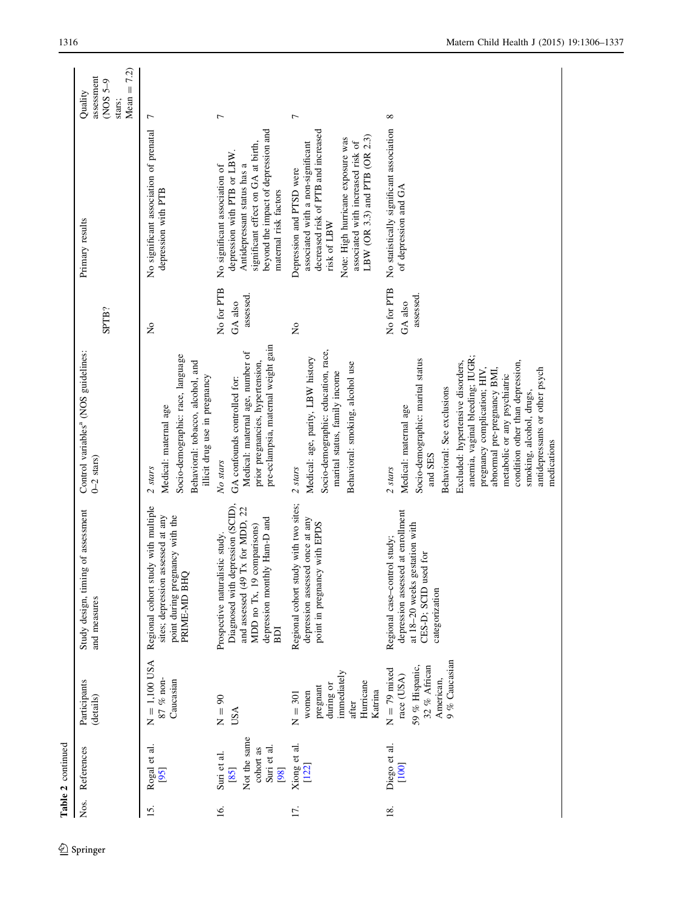|      | Table 2 continued                                                       |                                                                                              |                                                                                                                                                                                             |                                                                                                                                                                                                                                                                                                                                                                                                        |                                    |                                                                                                                                                                                                                                |                                                                           |
|------|-------------------------------------------------------------------------|----------------------------------------------------------------------------------------------|---------------------------------------------------------------------------------------------------------------------------------------------------------------------------------------------|--------------------------------------------------------------------------------------------------------------------------------------------------------------------------------------------------------------------------------------------------------------------------------------------------------------------------------------------------------------------------------------------------------|------------------------------------|--------------------------------------------------------------------------------------------------------------------------------------------------------------------------------------------------------------------------------|---------------------------------------------------------------------------|
| Nos. | References                                                              | Participants<br>(details)                                                                    | Study design, timing of assessment<br>and measures                                                                                                                                          | Control variables <sup>ª</sup> (NOS guidelines:<br>$0-2$ stars)                                                                                                                                                                                                                                                                                                                                        | SPTB?                              | Primary results                                                                                                                                                                                                                | 7.2)<br>assessment<br>$C-SOS$<br>$\parallel$<br>Quality<br>Mean<br>stars; |
| 15.  | Rogal et al.<br>95                                                      | $N = 1,100$ USA<br>87 % non-<br>Caucasian                                                    | Regional cohort study with multiple<br>sites; depression assessed at any<br>point during pregnancy with the<br>PRIME-MD BHQ                                                                 | Socio-demographic: race, language<br>Behavioral: tobacco, alcohol, and<br>illicit drug use in pregnancy<br>Medical: maternal age<br>$2$ stars                                                                                                                                                                                                                                                          | $\tilde{z}$                        | No significant association of prenatal<br>depression with PTB                                                                                                                                                                  | 7                                                                         |
| 16.  | Not the same<br>Suri et al.<br>cohort as<br>Suri et al.<br>[85]<br>[98] | $N = 90$<br>USA                                                                              | Diagnosed with depression (SCID),<br>$\overline{2}$<br>depression monthly Ham-D and<br>and assessed (49 Tx for MDD,<br>MDD no Tx, 19 comparisons)<br>Prospective naturalistic study.<br>BDI | pre-eclampsia, maternal weight gain<br>Medical: maternal age, number of<br>prior pregnancies, hypertension,<br>GA confounds controlled for:<br>No stars                                                                                                                                                                                                                                                | No for PTB<br>assessed.<br>GA also | beyond the impact of depression and<br>significant effect on GA at birth,<br>depression with PTB or LBW<br>Antidepressant status has a<br>No significant association of<br>maternal risk factors                               | 7                                                                         |
| 17.  | Xiong et al.<br>$[122]$                                                 | immediately<br>Hurricane<br>during or<br>pregnant<br>Katrina<br>women<br>$N = 301$<br>after  | Regional cohort study with two sites;<br>depression assessed once at any<br>point in pregnancy with EPDS                                                                                    | Socio-demographic: education, race,<br>Medical: age, parity, LBW history<br>Behavioral: smoking, alcohol use<br>marital status, family income<br>2 stars                                                                                                                                                                                                                                               | $\tilde{z}$                        | decreased risk of PTB and increased<br>LBW (OR 3.3) and PTB (OR 2.3)<br>Note: High hurricane exposure was<br>associated with increased risk of<br>associated with a non-significant<br>Depression and PTSD were<br>risk of LBW | 7                                                                         |
| 18.  | Diego et al.<br>[100]                                                   | 9 % Caucasian<br>59 % Hispanic,<br>32 % African<br>$N = 79$ mixed<br>race (USA)<br>American, | depression assessed at enrollment<br>at 18-20 weeks gestation with<br>Regional case-control study;<br>CES-D; SCID used for<br>categorization                                                | anemia, vaginal bleeding; IUGR;<br>Socio-demographic: marital status<br>Excluded: hypertensive disorders,<br>condition other than depression,<br>pregnancy complication; HIV,<br>abnormal pre-pregnancy BMI,<br>antidepressants or other psych<br>metabolic or any psychiatric<br>Behavioral: See exclusions<br>smoking, alcohol, drugs,<br>Medical: maternal age<br>medications<br>and SES<br>2 stars | No for PTB<br>assessed.<br>GA also | No statistically significant association<br>of depression and GA                                                                                                                                                               | $\infty$                                                                  |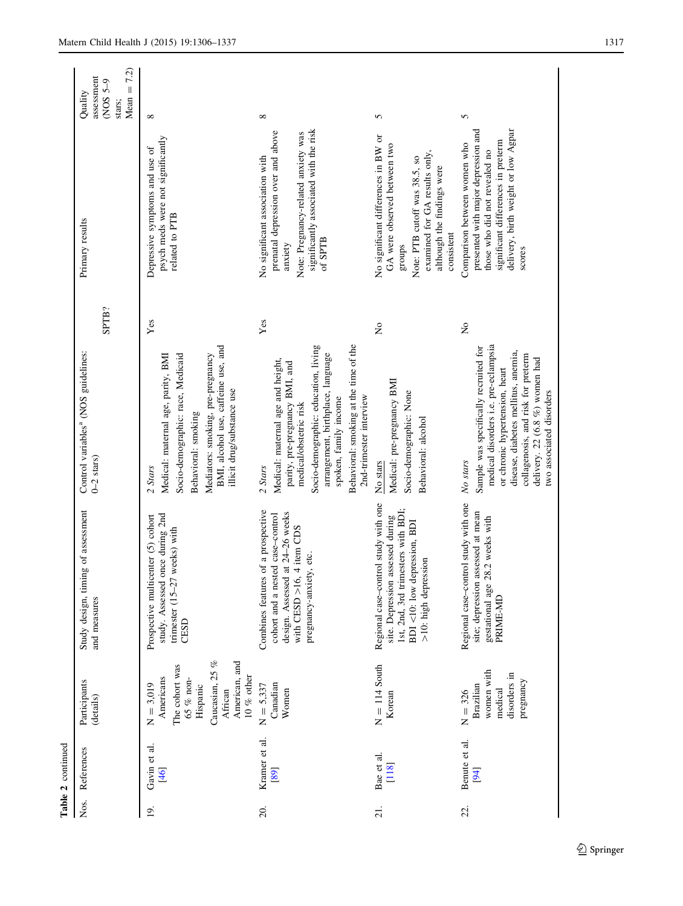|                | Table 2 continued     |                                                                                                                                       |                                                                                                                                                                                    |                                                                                                                                                                                                                                                                                     |                           |                                                                                                                                                                                             |                                                                   |
|----------------|-----------------------|---------------------------------------------------------------------------------------------------------------------------------------|------------------------------------------------------------------------------------------------------------------------------------------------------------------------------------|-------------------------------------------------------------------------------------------------------------------------------------------------------------------------------------------------------------------------------------------------------------------------------------|---------------------------|---------------------------------------------------------------------------------------------------------------------------------------------------------------------------------------------|-------------------------------------------------------------------|
| Nos.           | References            | Participants<br>(details)                                                                                                             | Study design, timing of assessment<br>and measures                                                                                                                                 | Control variables <sup>ª</sup> (NOS guidelines:<br>$0-2$ stars)                                                                                                                                                                                                                     | SPTB?                     | Primary results                                                                                                                                                                             | 7.2)<br>assessment<br>$O-5$ SON)<br>$Mean =$<br>Quality<br>stars; |
| $\overline{9}$ | Gavin et al.<br>[46]  | Caucasian, 25 %<br>American, and<br>The cohort was<br>$10\%$ other<br>Americans<br>$65~\%$ non-<br>$N = 3,019$<br>Hispanic<br>African | once during 2nd<br>Prospective multicenter (5) cohort<br>weeks) with<br>trimester $(15-27)$<br>study. Assessed<br>CESD                                                             | BMI, alcohol use, caffeine use, and<br>Mediators: smoking, pre-pregnancy<br>Socio-demographic: race, Medicaid<br>Medical: maternal age, parity, BMI<br>illicit drug/substance use<br>Behavioral: smoking<br>2 Stars                                                                 | Yes                       | psych meds were not significantly<br>Depressive symptoms and use of<br>related to PTB                                                                                                       | $\infty$                                                          |
| 20.            | Kramer et al.<br>[89] | Canadian<br>$N = 5,337$<br>Women                                                                                                      | of a prospective<br>at 24-26 weeks<br>cohort and a nested case-control<br>4 item CDS<br>ty, etc.<br>Combines features<br>design. Assessed<br>with CESD $>16$ ,<br>pregnancy-anxiet | Behavioral: smoking at the time of the<br>Socio-demographic: education, living<br>arrangement, birthplace, language<br>Medical: maternal age and height,<br>parity, pre-pregnancy BMI, and<br>2nd-trimester interview<br>spoken, family income<br>medical/obstetric risk<br>2 Stars | Yes                       | significantly associated with the risk<br>prenatal depression over and above<br>Note: Pregnancy-related anxiety was<br>No significant association with<br>of SPTB<br>anxiety                | ${}^{\circ}$                                                      |
| 21.            | Bae et al.<br>$[118]$ | $N = 114$ South<br>Korean                                                                                                             | Regional case-control study with one<br>1st, 2nd, 3rd trimesters with BDI;<br>site. Depression assessed during<br>BDI <10: low depression, BDI<br>>10: high depression             | Medical: pre-pregnancy BMI<br>Socio-demographic: None<br>Behavioral: alcohol<br>No stars                                                                                                                                                                                            | $\mathsf{S}^{\mathsf{o}}$ | No significant differences in BW or<br>GA were observed between two<br>examined for GA results only,<br>Note: PTB cutoff was 38.5, so<br>although the findings were<br>consistent<br>groups | 5                                                                 |
| 22.            | Benute et al.<br>[94] | women with<br>disorders in<br>pregnancy<br><b>Brazilian</b><br>$N = 326$<br>medical                                                   | Regional case-control study with one<br>site; depression assessed at mean<br>gestational age 28.2 weeks with<br>PRIME-MD                                                           | medical disorders i.e. pre-eclampsia<br>Sample was specifically recruited for<br>disease, diabetes mellitus, anemia,<br>collagenosis, and risk for preterm<br>delivery. 22 (6.8 %) women had<br>or chronic hypertension, heart<br>two associated disorders<br>No stars              | $\tilde{z}$               | presented with major depression and<br>delivery, birth weight or low Agpar<br>significant differences in preterm<br>Comparison between women who<br>those who did not revealed no<br>scores | S                                                                 |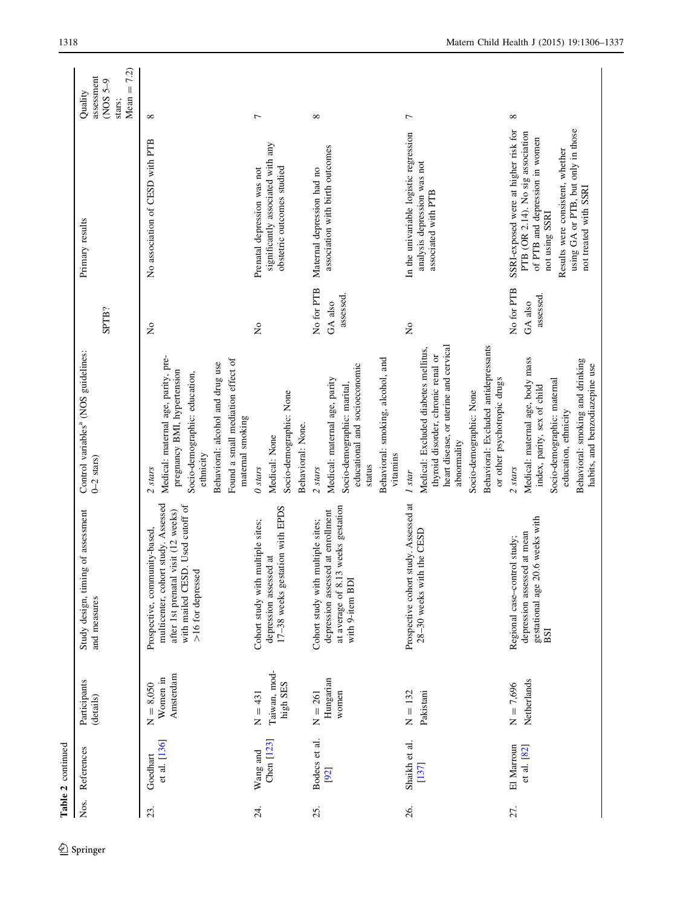|      | Table 2 continued         |                                       |                                                                                                                                                                         |                                                                                                                                                                                                                                                 |                                    |                                                                                                                                                                                                                                  |                                                                                 |
|------|---------------------------|---------------------------------------|-------------------------------------------------------------------------------------------------------------------------------------------------------------------------|-------------------------------------------------------------------------------------------------------------------------------------------------------------------------------------------------------------------------------------------------|------------------------------------|----------------------------------------------------------------------------------------------------------------------------------------------------------------------------------------------------------------------------------|---------------------------------------------------------------------------------|
| Nos. | References                | Participants<br>(details)             | g of assessment<br>Study design, timin<br>and measures                                                                                                                  | Control variables <sup>ª</sup> (NOS guidelines:<br>$0-2$ stars)                                                                                                                                                                                 | SPTB?                              | Primary results                                                                                                                                                                                                                  | 7.2)<br>assessment<br>$Q-5$ SON<br>$\lvert \rvert$<br>Quality<br>Mean<br>stars; |
| 23.  | et al. [136]<br>Goedhart  | Amsterdam<br>Women in<br>$N = 8,050$  | multicenter, cohort study. Assessed<br>with mailed CESD. Used cutoff of<br>visit (12 weeks)<br>Prospective, community-based,<br>>16 for depressed<br>after 1st prenatal | Medical: maternal age, parity, pre-<br>Found a small mediation effect of<br>Behavioral: alcohol and drug use<br>pregnancy BMI, hypertension<br>Socio-demographic: education,<br>maternal smoking<br>ethnicity<br>2 stars                        | $\tilde{\mathsf{z}}$               | No association of CESD with PTB                                                                                                                                                                                                  | $\infty$                                                                        |
| 24.  | Chen $[123]$<br>Wang and  | Taiwan, mod-<br>high SES<br>$N = 431$ | 17-38 weeks gestation with EPDS<br>Cohort study with multiple sites;<br>depression assessed at                                                                          | Socio-demographic: None<br>Behavioral: None.<br>Medical: None<br>$\it{O}~stars$                                                                                                                                                                 | $\tilde{z}$                        | significantly associated with any<br>obstetric outcomes studied<br>Prenatal depression was not                                                                                                                                   | $\overline{ }$                                                                  |
| 25.  | Bodecs et al.<br>[92]     | Hungarian<br>women<br>$N = 261$       | at average of 8.13 weeks gestation<br>depression assessed at enrollment<br>Cohort study with multiple sites;<br>with 9-item BDI                                         | Behavioral: smoking, alcohol, and<br>educational and socioeconomic<br>Medical: maternal age, parity<br>Socio-demographic: marital,<br>vitamins<br>status<br>2 stars                                                                             | No for PTB<br>assessed.<br>GA also | association with birth outcomes<br>Maternal depression had no                                                                                                                                                                    | $\infty$                                                                        |
| 26.  | Shaikh et al.<br>[137]    | $N = 132$<br>Pakistani                | Prospective cohort study. Assessed at<br>28-30 weeks with the CESD                                                                                                      | heart disease, or uterine and cervical<br>Behavioral: Excluded antidepressants<br>Medical: Excluded diabetes mellitus,<br>thyroid disorder, chronic renal or<br>or other psychotropic drugs<br>Socio-demographic: None<br>abnormality<br>1 star | $\tilde{z}$                        | In the univariable logistic regression<br>analysis depression was not<br>associated with PTB                                                                                                                                     | 7                                                                               |
| 27.  | El Marroun<br>et al. [82] | Netherlands<br>$N = 7,696$            | $\frac{3}{2}$ estational age 20.6 weeks with BSI<br>depression assessed at mean<br>Regional case-control study;                                                         | Medical: maternal age, body mass<br>Behavioral: smoking and drinking<br>habits, and benzodiazepine use<br>Socio-demographic: maternal<br>index, parity, sex of child<br>education, ethnicity<br>2 stars                                         | No for PTB<br>assessed.<br>GA also | SSRI-exposed were at higher risk for<br>using GA or PTB, but only in those<br>PTB (OR 2.14). No sig association<br>of PTB and depression in women<br>Results were consistent, whether<br>not treated with SSRI<br>not using SSRI | ${}^{\infty}$                                                                   |

 $\underline{\textcircled{\tiny 2}}$  Springer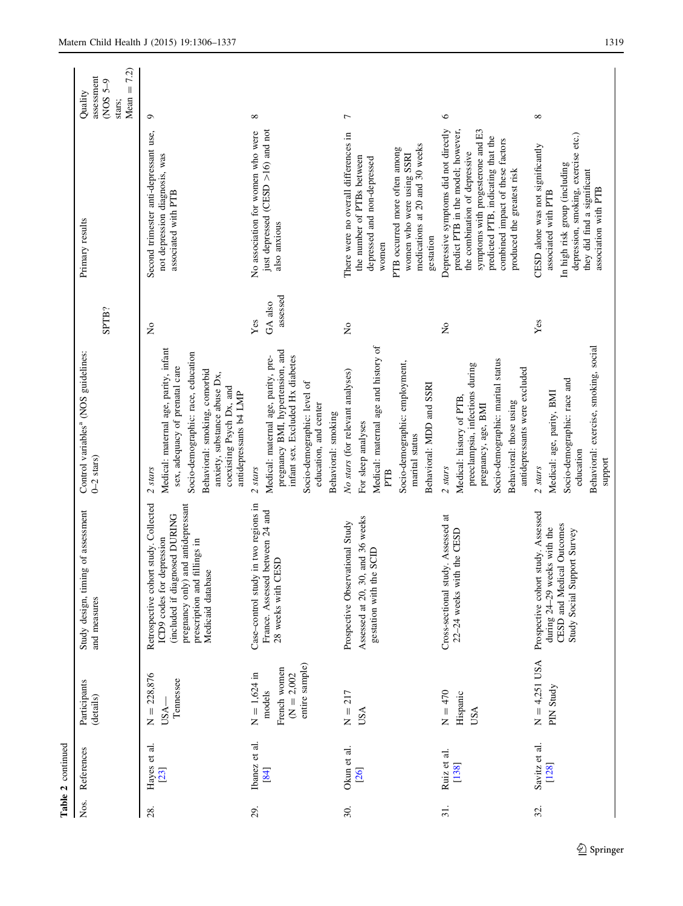|      | Table 2 continued      |                                                                             |                                                                                                                                                                                                      |                                                                                                                                                                                                                                                 |                            |                                                                                                                                                                                                                                                          |                                                                              |
|------|------------------------|-----------------------------------------------------------------------------|------------------------------------------------------------------------------------------------------------------------------------------------------------------------------------------------------|-------------------------------------------------------------------------------------------------------------------------------------------------------------------------------------------------------------------------------------------------|----------------------------|----------------------------------------------------------------------------------------------------------------------------------------------------------------------------------------------------------------------------------------------------------|------------------------------------------------------------------------------|
| Nos. | References             | Participants<br>(details)                                                   | Study design, timing of assessment<br>and measures                                                                                                                                                   | Control variables <sup>ª</sup> (NOS guidelines:<br>$0-2$ stars)                                                                                                                                                                                 | SPTB?                      | Primary results                                                                                                                                                                                                                                          | 7.2)<br>assessment<br>$(NOS5-9)$<br>$\parallel$<br>Quality<br>Mean<br>stars; |
| 28.  | Hayes et al.<br>$[23]$ | $N = 228,876$<br>Tennessee<br>USA-                                          | Retrospective cohort study. Collected<br>and antidepressant<br>(included if diagnosed DURING<br>ICD9 codes for depression<br>fillings in<br>Medicaid database<br>pregnancy only)<br>prescription and | Medical: maternal age, parity, infant<br>Socio-demographic: race, education<br>sex, adequacy of prenatal care<br>Behavioral: smoking, comorbid<br>anxiety, substance abuse Dx,<br>coexisting Psych Dx, and<br>antidepressants b4 LMP<br>2 stars | $\frac{1}{2}$              | Second trimester anti-depressant use,<br>not depression diagnosis, was<br>associated with PTB                                                                                                                                                            | $\circ$                                                                      |
| 29.  | Ibanez et al.<br>[84]  | entire sample)<br>French women<br>$N = 1,624$ in<br>$(N = 2,002)$<br>models | Case-control study in two regions in<br>France. Assessed between 24 and<br>28 weeks with CESD                                                                                                        | pregnancy BMI, hypertension, and<br>infant sex. Excluded Hx diabetes<br>Medical: maternal age, parity, pre-<br>Socio-demographic: level of<br>education, and center<br>Behavioral: smoking<br>2 stars                                           | assessed<br>GA also<br>Yes | just depressed (CESD >16) and not<br>No association for women who were<br>also anxious                                                                                                                                                                   | $^{\circ}$                                                                   |
| 30.  | Okun et al.<br>[26]    | $N = 217$<br><b>USA</b>                                                     | Assessed at 20, 30, and 36 weeks<br>Prospective Observational Study<br>gestation with the SCID                                                                                                       | Medical: maternal age and history of<br>Socio-demographic: employment,<br>No stars (for relevant analyses)<br>Behavioral: MDD and SSRI<br>For sleep analyses<br>marital status<br>PTB                                                           | $\mathsf{S}^{\mathsf{o}}$  | There were no overall differences in<br>medications at 20 and 30 weeks<br>PTB occurred more often among<br>women who were using SSRI<br>the number of PTBs between<br>depressed and non-depressed<br>gestation<br>women                                  | $\overline{ }$                                                               |
| 31.  | Ruiz et al.<br>[138]   | $N = 470$<br>Hispanic<br>USA                                                | Cross-sectional study. Assessed at<br>22-24 weeks with the CESD                                                                                                                                      | Socio-demographic: marital status<br>preeclampsia, infections during<br>antidepressants were excluded<br>Medical: history of PTB,<br>Behavioral: those using<br>pregnancy, age, BMI<br>2 stars                                                  | $\tilde{z}$                | symptoms with progesterone and E3<br>Depressive symptoms did not directly<br>predict PTB in the model; however,<br>predicted PTB, indicating that the<br>combined impact of these factors<br>the combination of depressive<br>produced the greatest risk | $\circ$                                                                      |
| 32.  | Savitz et al.<br>[128] | $N = 4,251$ USA<br>PIN Study                                                | Prospective cohort study. Assessed<br>CESD and Medical Outcomes<br>during 24-29 weeks with the<br>Study Social Support Survey                                                                        | Behavioral: exercise, smoking, social<br>Socio-demographic: race and<br>Medical: age, parity, BMI<br>education<br>support<br>$2$ stars                                                                                                          | Yes                        | depression, smoking, exercise etc.)<br>CESD alone was not significantly<br>In high risk group (including<br>they did find a significant<br>association with PTB<br>associated with PTB                                                                   | $^{\circ}$                                                                   |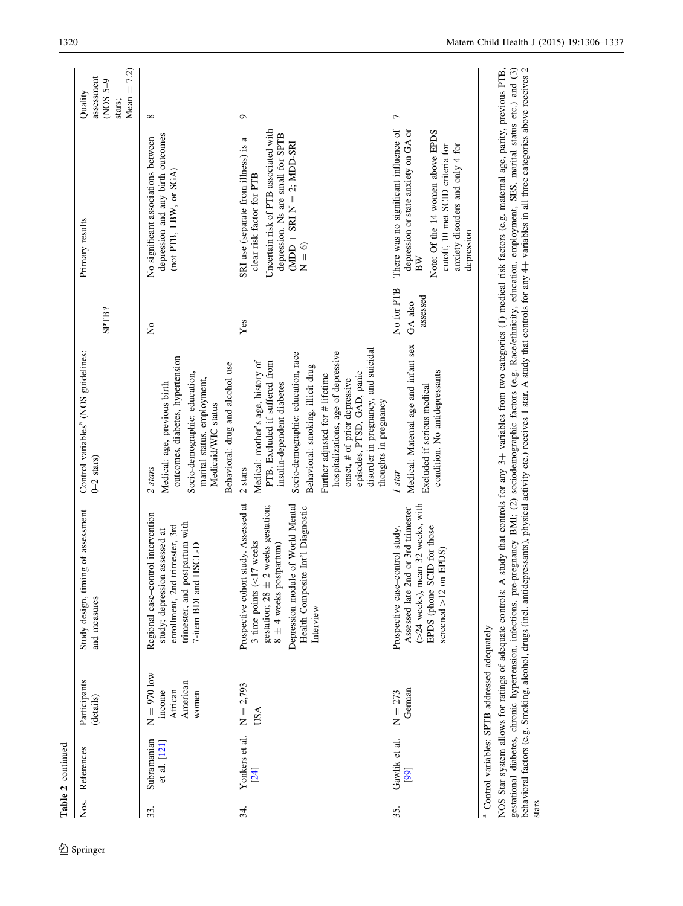|      | Table 2 continued           |                                                           |                                                                                                                                                                                                                                            |                                                                                                                                                                                                                                                                                                                                                                                                  |                                   |                                                                                                                                                                                                               |                                                                  |
|------|-----------------------------|-----------------------------------------------------------|--------------------------------------------------------------------------------------------------------------------------------------------------------------------------------------------------------------------------------------------|--------------------------------------------------------------------------------------------------------------------------------------------------------------------------------------------------------------------------------------------------------------------------------------------------------------------------------------------------------------------------------------------------|-----------------------------------|---------------------------------------------------------------------------------------------------------------------------------------------------------------------------------------------------------------|------------------------------------------------------------------|
| Nos. | References                  | Participants<br>(details)                                 | Study design, timing of assessment<br>and measures                                                                                                                                                                                         | Control variables <sup>ª</sup> (NOS guidelines:<br>$0-2$ stars)                                                                                                                                                                                                                                                                                                                                  | SPTB?                             | Primary results                                                                                                                                                                                               | 7.2)<br>assessment<br>$NOS 5-9$<br>$Mean =$<br>Quality<br>stars; |
| 33.  | Subramanian<br>et al. [121] | $N = 970$ low<br>American<br>African<br>income<br>women   | Regional case-control intervention<br>trimester, and postpartum with<br>enrollment, 2nd trimester, 3rd<br>study; depression assessed at<br>7-item BDI and HSCL-D                                                                           | outcomes, diabetes, hypertension<br>Behavioral: drug and alcohol use<br>Socio-demographic: education,<br>marital status, employment,<br>Medical: age, previous birth<br>Medicaid/WIC status<br>2 stars                                                                                                                                                                                           | $\tilde{\mathsf{z}}$              | depression and any birth outcomes<br>No significant associations between<br>(not PTB, LBW, or SGA)                                                                                                            | $\infty$                                                         |
| 34.  | Yonkers et al.<br>[24]      | $N = 2,793$<br>USA                                        | study. Assessed at<br>Depression module of World Mental<br>gestation; $28 \pm 2$ weeks gestation;<br>Health Composite Int'l Diagnostic<br>17 weeks<br>$8 \pm 4$ weeks postpartum)<br>3 time points $(<$<br>Prospective cohort<br>Interview | disorder in pregnancy, and suicidal<br>hospitalizations, age of depressive<br>Socio-demographic: education, race<br>Medical: mother's age, history of<br>PTB. Excluded if suffered from<br>Behavioral: smoking, illicit drug<br>episodes, PTSD, GAD, panic<br>Further adjusted for # lifetime<br>onset, # of prior depressive<br>insulin-dependent diabetes<br>thoughts in pregnancy<br>$2stars$ | Yes                               | Uncertain risk of PTB associated with<br>depression. Ns are small for SPTB<br>SRI use (separate from illness) is a<br>$(MDD + SRI N = 2; MDD-SRI)$<br>clear risk factor for PTB<br>$N = 6$                    | ó                                                                |
| 35.  | Gawlik et al.<br>[99]       | German<br>$N = 273$                                       | (>24 weeks), mean 32 weeks, with<br>Assessed late 2nd or 3rd trimester<br>Prospective case-control study.<br>EPDS (phone SCID for those<br>EPDS)<br>screened $>12$ on                                                                      | Medical: Maternal age and infant sex<br>condition. No antidepressants<br>Excluded if serious medical<br>1 star                                                                                                                                                                                                                                                                                   | No for PTB<br>assessed<br>GA also | There was no significant influence of<br>depression or state anxiety on GA or<br>Note: Of the 14 women above EPDS<br>anxiety disorders and only 4 for<br>cutoff, 10 met SCID criteria for<br>depression<br>BW | $\overline{ }$                                                   |
|      |                             | <sup>a</sup> Control variables: SPTB addressed adequately | NOS Star system allows for ratings of adequate controls: A                                                                                                                                                                                 | study that controls for any $3+$ variables from two categories (1) medical risk factors (e.g. maternal age, parity, previous PTB,                                                                                                                                                                                                                                                                |                                   |                                                                                                                                                                                                               |                                                                  |

<sup>2</sup> Springer

gestational diabetes, chronic hypertension, infections, pre-pregnancy BMI; (2) sociodemographic factors (e.g. Race/ethnicity, education, employment, SES, marital status etc.) and (3)

+

variables in all three categories above receives 2

behavioral factors (e.g. Smoking, alcohol, drugs (incl. antidepressants), physical activity etc.) receives 1 star. A study that controls for any 4

stars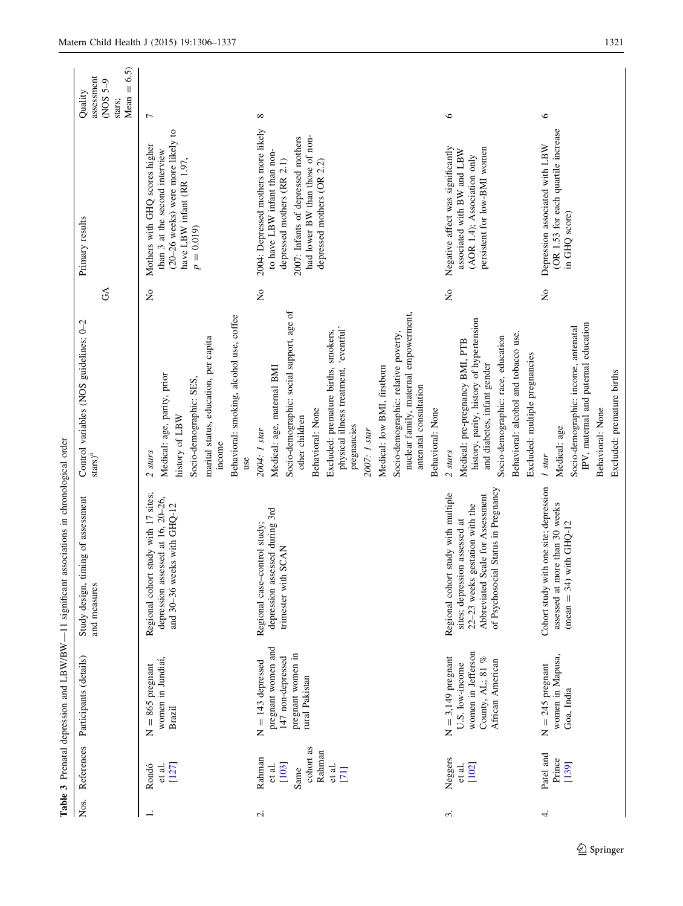<span id="page-15-0"></span>

|        |                                                                              |                                                                                                          | Table 3 Prenatal depression and LBW/BW—11 significant associations in chronological order                                                                                            |                                                                                                                                                                                                                                                                                                                                                                                                              |                           |                                                                                                                                                                                                          |                                                                              |
|--------|------------------------------------------------------------------------------|----------------------------------------------------------------------------------------------------------|--------------------------------------------------------------------------------------------------------------------------------------------------------------------------------------|--------------------------------------------------------------------------------------------------------------------------------------------------------------------------------------------------------------------------------------------------------------------------------------------------------------------------------------------------------------------------------------------------------------|---------------------------|----------------------------------------------------------------------------------------------------------------------------------------------------------------------------------------------------------|------------------------------------------------------------------------------|
| Nos.   | References                                                                   | Participants (details)                                                                                   | timing of assessment<br>and measures<br>Study design,                                                                                                                                | Control variables (NOS guidelines: 0-2<br>${\rm stars})^{\rm a}$                                                                                                                                                                                                                                                                                                                                             | $\Im$                     | Primary results                                                                                                                                                                                          | 6.5)<br>assessment<br>$(NOS5-9)$<br>$\mid \mid$<br>Quality<br>Mean<br>stars; |
|        | [127]<br>Rondó<br>et al.                                                     | women in Jundiaí,<br>$N = 865$ pregnant<br>Brazil                                                        | Regional cohort study with 17 sites;<br>depression assessed at 16, 20-26,<br>and 30-36 weeks with GHQ-12                                                                             | Behavioral: smoking, alcohol use, coffee<br>marital status, education, per capita<br>Medical: age, parity, prior<br>Socio-demographic: SES,<br>history of LBW<br>income<br>2 stars<br>use                                                                                                                                                                                                                    | $\overline{\mathsf{z}}$   | (20-26 weeks) were more likely to<br>Mothers with GHQ scores higher<br>than 3 at the second interview<br>have LBW infant (RR 1.97,<br>$p = 0.019$                                                        | $\overline{ }$                                                               |
| $\sim$ | cohort as<br>Rahman<br>Rahman<br>$[103]$<br>et al.<br>et al.<br>Same<br>[71] | pregnant women and<br>pregnant women in<br>147 non-depressed<br>$N = 143$ depressed<br>rural Pakistan    | depression assessed during 3rd<br>Regional case-control study;<br>trimester with SCAN                                                                                                | Socio-demographic: social support, age of<br>nuclear family, maternal empowerment,<br>physical illness treatment, 'eventful'<br>Excluded: premature births, smokers,<br>Socio-demographic: relative poverty,<br>Medical: low BMI, firstborn<br>Medical: age, maternal BMI<br>antenatal consultation<br>Behavioral: None<br>Behavioral: None<br>other children<br>pregnancies<br>2007: 1 star<br>2004: 1 star | $\mathsf{S}^{\mathsf{o}}$ | 2004: Depressed mothers more likely<br>had lower BW than those of non-<br>2007: Infants of depressed mothers<br>to have LBW infant than non-<br>depressed mothers (OR 2.2)<br>depressed mothers (RR 2.1) | ${}^{\circ}$                                                                 |
| 3.     | Neggers<br>[102]<br>et al.                                                   | women in Jefferson<br>County, AL; 81 $\%$<br>$N = 3,149$ pregnant<br>African American<br>U.S. low-income | of Psychosocial Status in Pregnancy<br>Regional cohort study with multiple<br>Scale for Assessment<br>22-23 weeks gestation with the<br>sites; depression assessed at<br>Abbreviated | history, parity, history of hypertension<br>Behavioral: alcohol and tobacco use.<br>Socio-demographic: race, education<br>Medical: pre-pregnancy BMI, PTB<br>Excluded: multiple pregnancies<br>and diabetes, infant gender<br>$2$ stars                                                                                                                                                                      | $\mathsf{S}^{\mathsf{o}}$ | persistent for low-BMI women<br>Negative affect was significantly<br>associated with BW and LBW<br>(AOR 1.4); Association only                                                                           | $\circ$                                                                      |
| 4.     | Patel and<br>Prince<br>[139]                                                 | women in Mapusa,<br>$N = 245$ pregnant<br>Goa, India                                                     | Cohort study with one site; depression<br>assessed at more than 30 weeks<br>with GHQ-12<br>$(\text{mean} = 34)$                                                                      | IPV, maternal and paternal education<br>Socio-demographic: income, antenatal<br>Excluded: premature births<br>Behavioral: None<br>Medical: age<br>1 star                                                                                                                                                                                                                                                     | $\mathsf{S}^{\mathsf{O}}$ | (OR 1.53 for each quartile increase<br>Depression associated with LBW<br>in GHQ score)                                                                                                                   | $\circ$                                                                      |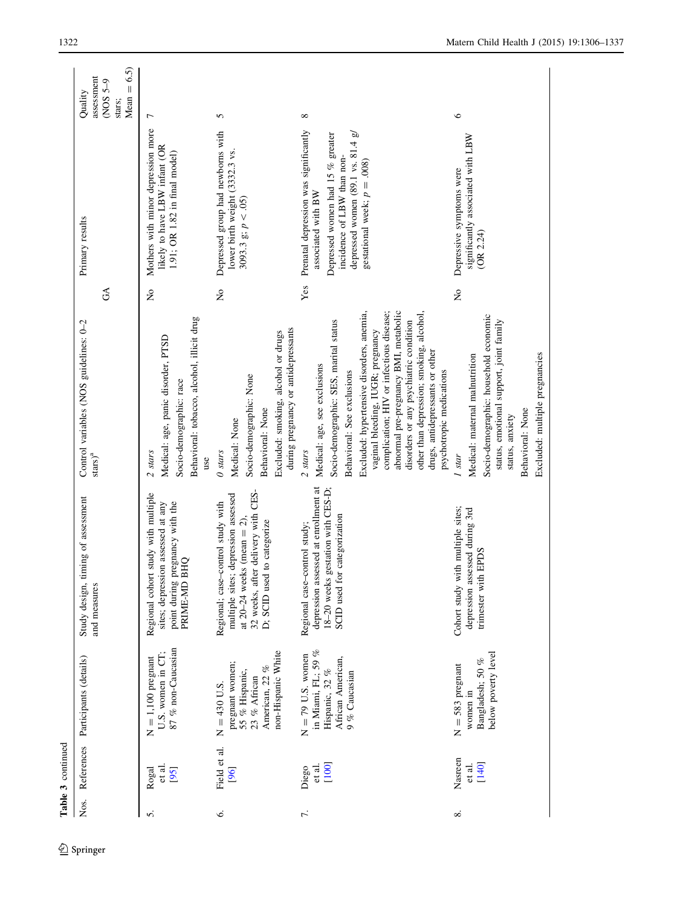|                | Table 3 continued          |                                                                                                             |                                                                                                                                                                                    |                                                                                                                                                                                                                                                                                                                                                                                                                                             |                           |                                                                                                                                                                                                                         |                                                                                |
|----------------|----------------------------|-------------------------------------------------------------------------------------------------------------|------------------------------------------------------------------------------------------------------------------------------------------------------------------------------------|---------------------------------------------------------------------------------------------------------------------------------------------------------------------------------------------------------------------------------------------------------------------------------------------------------------------------------------------------------------------------------------------------------------------------------------------|---------------------------|-------------------------------------------------------------------------------------------------------------------------------------------------------------------------------------------------------------------------|--------------------------------------------------------------------------------|
| Nos.           | References                 | Participants (details)                                                                                      | Study design, timing of assessment<br>and measures                                                                                                                                 | Control variables (NOS guidelines: 0-2<br>${\rm stars})^{\rm a}$                                                                                                                                                                                                                                                                                                                                                                            | E                         | Primary results                                                                                                                                                                                                         | (5.5)<br>assessment<br>$($ NOS 5-9<br>$\parallel$<br>Quality<br>Mean<br>stars; |
| ົ              | et al.<br>[95]<br>Rogal    | 87 % non-Caucasian<br>U.S. women in CT;<br>$N = 1,100$ pregnant                                             | t study with multiple<br>point during pregnancy with the<br>sites; depression assessed at any<br><b>DHS</b><br>Regional cohort<br>PRIME-MD I                                       | Behavioral: tobacco, alcohol, illicit drug<br>Medical: age, panic disorder, PTSD<br>Socio-demographic: race<br>2 stars<br>use                                                                                                                                                                                                                                                                                                               | $\overline{\mathsf{X}}$   | Mothers with minor depression more<br>likely to have LBW infant (OR<br>1.91; OR 1.82 in final model)                                                                                                                    | $\overline{ }$                                                                 |
| Ġ.             | Field et al.<br>[96]       | non-Hispanic White<br>pregnant women;<br>American, 22 %<br>55 % Hispanic,<br>23 % African<br>$N = 430$ U.S. | 32 weeks, after delivery with CES-<br>depression assessed<br>Regional; case-control study with<br>at $20-24$ weeks (mean = 2),<br>to categorize<br>multiple sites;<br>D; SCID used | during pregnancy or antidepressants<br>Excluded: smoking, alcohol or drugs<br>Socio-demographic: None<br>Behavioral: None<br>Medical: None<br>$0$ stars                                                                                                                                                                                                                                                                                     | $\overline{\mathsf{z}}$   | Depressed group had newborns with<br>lower birth weight (3332.3 vs.<br>$3093.3 \text{ g}; p < .05$                                                                                                                      | 5                                                                              |
| $\overline{r}$ | [100]<br>et al.<br>Diego   | in Miami, FL; 59 %<br>$N = 79$ U.S. women<br>African American,<br>Hispanic, 32 %<br>9 % Caucasian           | depression assessed at enrollment at<br>18-20 weeks gestation with CES-D;<br>SCID used for categorization<br>Regional case-control study;                                          | abnormal pre-pregnancy BMI, metabolic<br>Excluded: hypertensive disorders, anemia,<br>complication; HIV or infectious disease;<br>other than depression; smoking, alcohol,<br>disorders or any psychiatric condition<br>Socio-demographic: SES, marital status<br>vaginal bleeding, IUGR; pregnancy<br>drugs, antidepressants or other<br>Medical: age, see exclusions<br>psychotropic medications<br>Behavioral: See exclusions<br>2 stars | Yes                       | Prenatal depression was significantly<br>depressed women $(89.1 \text{ vs. } 81.4 \text{ g})$<br>Depressed women had 15 % greater<br>incidence of LBW than non-<br>gestational week; $p = .008$ )<br>associated with BW | ${}^{\circ}$                                                                   |
| ∞ं             | Nasreen<br>[140]<br>et al. | below poverty level<br>Bangladesh; 50 %<br>$N = 583$ pregnant<br>women in                                   | Cohort study with multiple sites;<br>depression assessed during 3rd<br>EPDS<br>trimester with                                                                                      | Socio-demographic: household economic<br>status, emotional support, joint family<br>Excluded: multiple pregnancies<br>Medical: maternal malnutrition<br>Behavioral: None<br>status, anxiety<br>1 star                                                                                                                                                                                                                                       | $\mathsf{S}^{\mathsf{o}}$ | significantly associated with LBW<br>Depressive symptoms were<br>(OR 2.24)                                                                                                                                              | $\circ$                                                                        |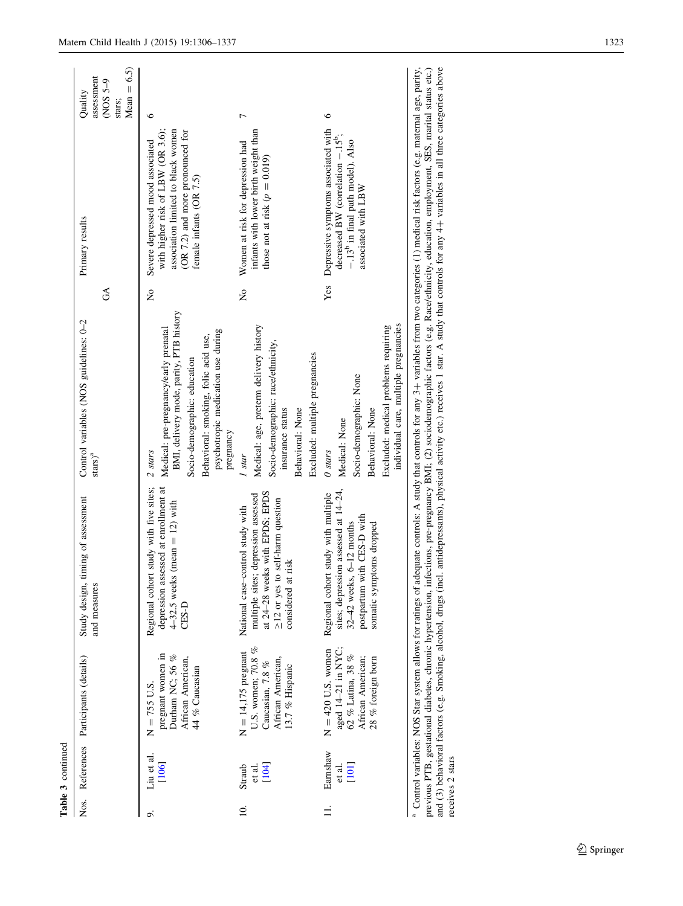|       |                               | Nos. References Participants (details)                                                                    | Study design, timing of assessment<br>and measures                                                                                                                              | Control variables (NOS guidelines: 0-2<br>${\rm stars})^{\rm a}$                                                                                                                                                                                                                                                                                                                                             | $\mathfrak{S}$ | Primary results                                                                                                                                                            | Mean $= 6.5$ )<br>assessment<br>$O-SON$<br>Quality<br>stars; |
|-------|-------------------------------|-----------------------------------------------------------------------------------------------------------|---------------------------------------------------------------------------------------------------------------------------------------------------------------------------------|--------------------------------------------------------------------------------------------------------------------------------------------------------------------------------------------------------------------------------------------------------------------------------------------------------------------------------------------------------------------------------------------------------------|----------------|----------------------------------------------------------------------------------------------------------------------------------------------------------------------------|--------------------------------------------------------------|
| ö     | Liu et al.<br>[106]           | pregnant women in<br>Durham NC; 56 %<br>African American,<br>44 % Caucasian<br>$N = 755$ U.S.             | Regional cohort study with five sites;<br>depression assessed at enrollment at<br>$4-32.5$ weeks (mean = 12) with<br>CES-D                                                      | BMI, delivery mode, parity, PTB history<br>Medical: pre-pregnancy/early prenatal<br>psychotropic medication use during<br>Behavioral: smoking, folic acid use,<br>Socio-demographic: education<br>pregnancy<br>2 stars                                                                                                                                                                                       | ş              | with higher risk of LBW (OR 3.6);<br>association limited to black women<br>(OR 7.2) and more pronounced for<br>Severe depressed mood associated<br>female infants (OR 7.5) | ७                                                            |
| $\Xi$ | [104]<br>Straub<br>et al.     | U.S. women; 70.8 %<br>$N = 14,175$ pregnant<br>African American,<br>Caucasian, 7.8 %<br>13.7 % Hispanic   | at 24-28 weeks with EPDS; EPDS<br>multiple sites; depression assessed<br>self-harm question<br>National case-control study with<br>risk<br>$\geq$ 12 or yes to<br>considered at | Medical: age, preterm delivery history<br>Socio-demographic: race/ethnicity,<br>Excluded: multiple pregnancies<br>insurance status<br>Behavioral: None<br>1 star                                                                                                                                                                                                                                             | $\frac{1}{2}$  | infants with lower birth weight than<br>Women at risk for depression had<br>those not at risk $(p = 0.019)$                                                                | Γ                                                            |
|       | Earnshaw<br>et al.<br>$[101]$ | aged 14-21 in NYC;<br>$N = 420$ U.S. women<br>62 % Latina, 38 %<br>African American;<br>28 % foreign born | sites; depression assessed at 14-24,<br>Regional cohort study with multiple<br>postpartum with CES-D with<br>$32-42$ weeks, $6-12$ months<br>somatic symptoms dropped           | individual care, multiple pregnancies<br>Excluded: medical problems requiring<br>Socio-demographic: None<br>Behavioral: None<br>Medical: None<br>$0$ stars                                                                                                                                                                                                                                                   | Yes            | Depressive symptoms associated with<br>decreased BW (correlation $-15^\circ$ ;<br>$-.13b$ in final path model). Also<br>associated with LBW                                | $\circ$                                                      |
|       |                               |                                                                                                           |                                                                                                                                                                                 | <sup>3</sup> Control variables: NOS Star system allows for ratings of adequate controls: A study that controls for any 3+ variables from two categories (1) medical risk factors (e.g. maternal age, parity,<br>previous PTB, gestational diabetes, chronic hypertension, infections, pre-pregnancy BMI; (2) sociodemographic factors (e.g. Race/ethnicity, education, employment, SES, marital status etc.) |                |                                                                                                                                                                            |                                                              |

and (3) behavioral factors (e.g. Smoking, alcohol, drugs (incl. antidepressants), physical activity etc.) receives 1 star. A study that controls for any 4+ variables in all three categories above receives 2 stars and (3) behavioral factors (e.g. Smoking, alcohol, drugs (incl. antidepressants), physical activity etc.) receives 1 star. A study that controls for any 4+ variables in all three categories above receives 2 stars

Table 3 continued

Table 3 continued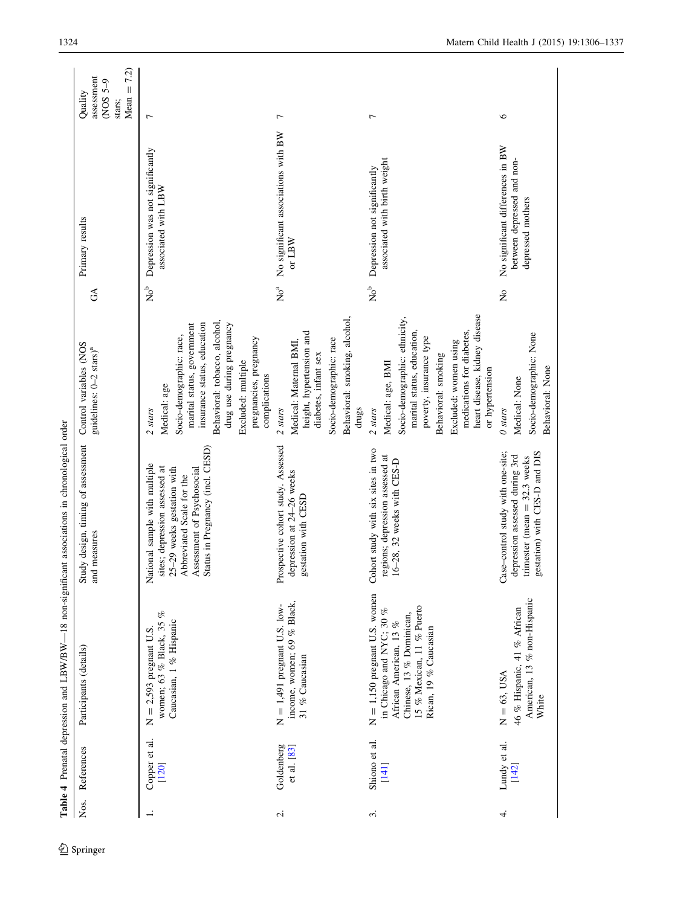<span id="page-18-0"></span>

| Nos.                     | References                | Participants (details)                                                                                                                                                  | Study design, timing of assessment<br>and measures                                                                                                                                         | Control variables (NOS<br>guidelines: 0-2 stars) <sup>a</sup>                                                                                                                                                                                           | $\mathbb{S}^4$           | Primary results                                                                     | 7.2)<br>assessment<br>$O-SON$<br>$Mean =$<br>Quality<br>stars; |
|--------------------------|---------------------------|-------------------------------------------------------------------------------------------------------------------------------------------------------------------------|--------------------------------------------------------------------------------------------------------------------------------------------------------------------------------------------|---------------------------------------------------------------------------------------------------------------------------------------------------------------------------------------------------------------------------------------------------------|--------------------------|-------------------------------------------------------------------------------------|----------------------------------------------------------------|
|                          | Copper et al.<br>[120]    | women; 63 % Black, 35 %<br>Caucasian, 1 % Hispanic<br>$N = 2,593$ pregnant U.S.                                                                                         | Assessment of Psychosocial<br>Status in Pregnancy (incl. CESD)<br>National sample with multiple<br>sites; depression assessed at $25-29$ weeks gestation with<br>Abbreviated Scale for the | Behavioral: tobacco, alcohol,<br>insurance status, education<br>drug use during pregnancy<br>marital status, government<br>Socio-demographic: race,<br>pregnancies, pregnancy<br>Excluded: multiple<br>complications<br>Medical: age<br>2 stars         | $\rm{No}^b$              | Depression was not significantly<br>associated with LBW                             | $\overline{ }$                                                 |
| $\overline{\mathcal{L}}$ | Goldenberg<br>et al. [83] | income, women; 69 % Black,<br>$N = 1,491$ pregnant U.S. low-<br>31 % Caucasian                                                                                          | Prospective cohort study. Assessed<br>depression at 24-26 weeks<br>gestation with CESD                                                                                                     | Behavioral: smoking, alcohol,<br>height, hypertension and<br>Socio-demographic: race<br>Medical: Maternal BMI,<br>diabetes, infant sex<br>drugs<br>2 stars                                                                                              | $\mathrm{No}^\mathrm{a}$ | No significant associations with BW<br>or $LBW$                                     | $\overline{ }$                                                 |
| $\ddot{\mathrm{c}}$      | Shiono et al.<br>$[141]$  | $N = 1,150$ pregnant U.S. women<br>15 % Mexican, 11 % Puerto<br>in Chicago and NYC; 30 %<br>Chinese, 13 % Dominican,<br>African American, 13 %<br>Rican, 19 % Caucasian | Cohort study with six sites in two<br>regions; depression assessed at<br>16-28, 32 weeks with CES-D                                                                                        | heart disease, kidney disease<br>Socio-demographic: ethnicity,<br>marital status, education,<br>medications for diabetes,<br>poverty, insurance type<br>Excluded: women using<br>Behavioral: smoking<br>Medical: age, BMI<br>or hypertension<br>2 stars | $\mathsf{R}^\mathtt{b}$  | associated with birth weight<br>Depression not significantly                        | 7                                                              |
| 4.                       | Lundy et al.<br>[142]     | American, 13 % non-Hispanic<br>46 % Hispanic, 41 % African<br>$N = 63$ , USA<br>White                                                                                   | Case-control study with one-site;<br>gestation) with CES-D and DIS<br>depression assessed during 3rd<br>trimester (mean $=$ 32.3 weeks                                                     | Socio-demographic: None<br>Behavioral: None<br>Medical: None<br>$0$ stars                                                                                                                                                                               | Ş                        | No significant differences in BW<br>between depressed and non-<br>depressed mothers | $\circ$                                                        |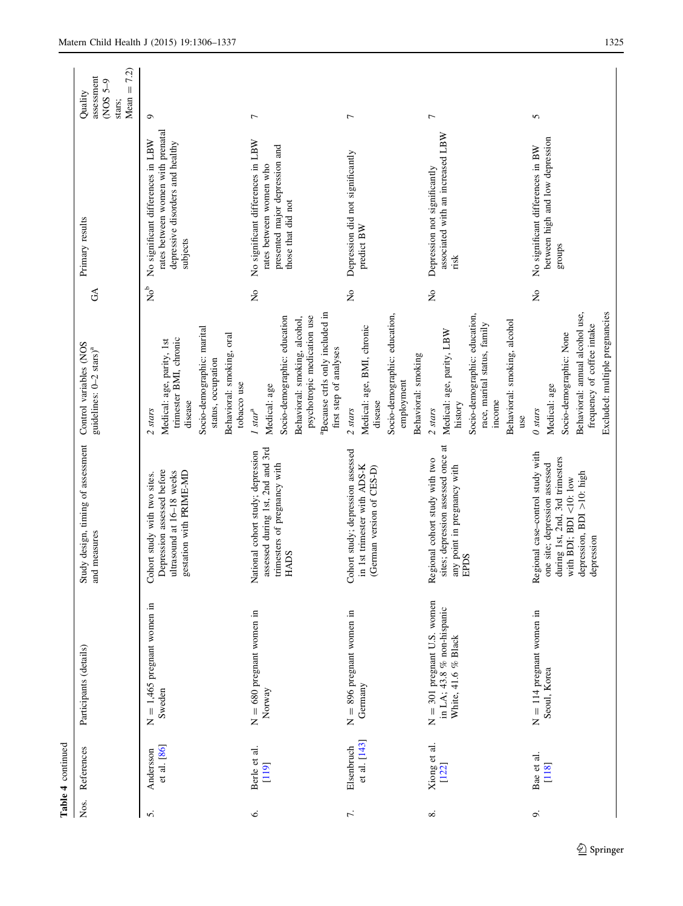|                | Table 4 continued          |                                                                                    |                                                                                                                                                                                 |                                                                                                                                                                                                                |                           |                                                                                                                        |                                                                              |
|----------------|----------------------------|------------------------------------------------------------------------------------|---------------------------------------------------------------------------------------------------------------------------------------------------------------------------------|----------------------------------------------------------------------------------------------------------------------------------------------------------------------------------------------------------------|---------------------------|------------------------------------------------------------------------------------------------------------------------|------------------------------------------------------------------------------|
| Nos.           | References                 | Participants (details)                                                             | Study design, timing of assessment<br>and measures                                                                                                                              | Control variables (NOS<br>guidelines: 0-2 stars) <sup>a</sup>                                                                                                                                                  | $\Im$                     | Primary results                                                                                                        | 7.2)<br>assessment<br>$Q-5$ SON)<br>$\parallel$<br>Quality<br>Mean<br>stars; |
| $\dot{\delta}$ | et al. [86]<br>Andersson   | $N = 1,465$ pregnant women in<br>Sweden                                            | Depression assessed before<br>ultrasound at 16-18 weeks<br>gestation with PRIME-MD<br>Cohort study with two sites.                                                              | Socio-demographic: marital<br>Behavioral: smoking, oral<br>trimester BMI, chronic<br>Medical: age, parity, 1st<br>status, occupation<br>tobacco use<br>disease<br>2 stars                                      | $N_{\rm O}^{\rm b}$       | rates between women with prenatal<br>No significant differences in LBW<br>depressive disorders and healthy<br>subjects | ٥                                                                            |
| Ġ.             | Berle et al.<br>$[119]$    | $N = 680$ pregnant women in<br>Norway                                              | assessed during 1st, 2nd and 3rd<br>National cohort study; depression<br>trimesters of pregnancy with<br><b>HADS</b>                                                            | <sup>a</sup> Because ctrls only included in<br>Socio-demographic: education<br>psychotropic medication use<br>Behavioral: smoking, alcohol,<br>first step of analyses<br>Medical: age<br>$1$ star <sup>a</sup> | $\tilde{\mathsf{z}}$      | No significant differences in LBW<br>presented major depression and<br>rates between women who<br>those that did not   | $\overline{ }$                                                               |
| 7.             | et al. [143]<br>Elsenbruch | $N = 896$ pregnant women in<br>Germany                                             | Cohort study; depression assessed<br>in 1st trimester with ADS-K<br>(German version of CES-D)                                                                                   | Socio-demographic: education,<br>Medical: age, BMI, chronic<br>Behavioral: smoking<br>employment<br>disease<br>2 stars                                                                                         | $\overline{\mathsf{z}}$   | Depression did not significantly<br>predict BW                                                                         | $\overline{ }$                                                               |
| $\infty$       | Xiong et al.<br>[122]      | $N = 301$ pregnant U.S. women<br>in LA; 43.8 % non-hispanic<br>White, 41.6 % Black | sites; depression assessed once at<br>Regional cohort study with two<br>any point in pregnancy with<br><b>EPDS</b>                                                              | Socio-demographic: education,<br>Behavioral: smoking, alcohol<br>race, marital status, family<br>Medical: age, parity, LBW<br>income<br>history<br>$2$ stars<br>use                                            | $\mathsf{S}^{\mathsf{o}}$ | associated with an increased LBW<br>Depression not significantly<br>risk                                               | $\overline{ }$                                                               |
| o,             | Bae et al.<br>$[118]$      | $N = 114$ pregnant women in<br>Seoul, Korea                                        | Regional case-control study with<br>during 1st, 2nd, 3rd trimesters<br>one site; depression assessed<br>depression, BDI >10: high<br>with BDI; BDI <10: $\rm low$<br>depression | Excluded: multiple pregnancies<br>Behavioral: annual alcohol use,<br>frequency of coffee intake<br>Socio-demographic: None<br>Medical: age<br>0 stars                                                          | $\tilde{z}$               | between high and low depression<br>No significant differences in BW<br>groups                                          | 5                                                                            |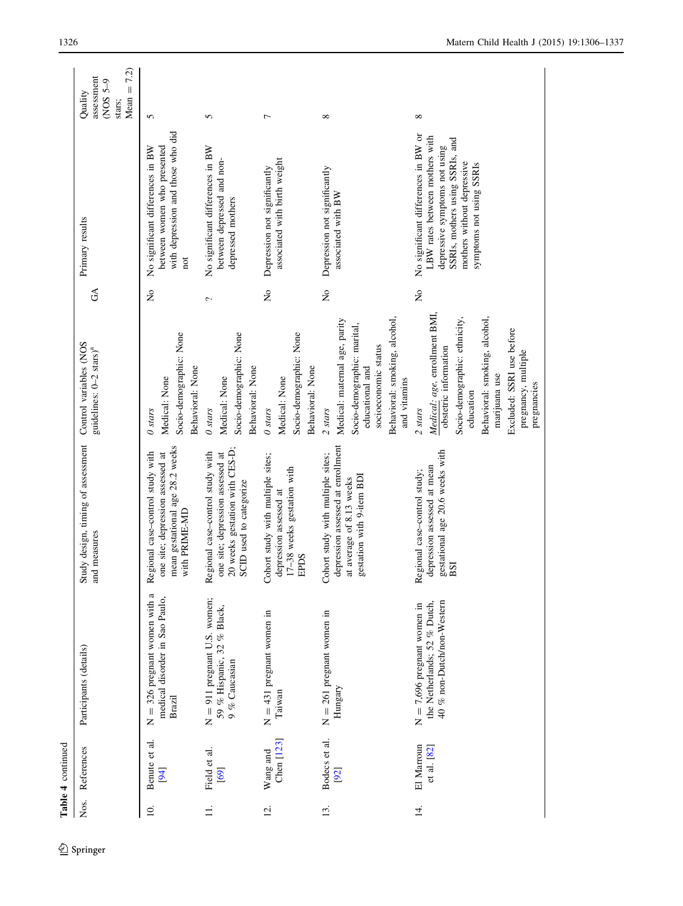|                   | Table 4 continued           |                                                                                              |                                                                                                                                          |                                                                                                                                                                                                                                        |                           |                                                                                                                                                                                                     |                                                                         |
|-------------------|-----------------------------|----------------------------------------------------------------------------------------------|------------------------------------------------------------------------------------------------------------------------------------------|----------------------------------------------------------------------------------------------------------------------------------------------------------------------------------------------------------------------------------------|---------------------------|-----------------------------------------------------------------------------------------------------------------------------------------------------------------------------------------------------|-------------------------------------------------------------------------|
| Nos.              | References                  | Participants (details)                                                                       | Study design, timing of assessment<br>measures<br>and                                                                                    | Control variables (NOS<br>guidelines: 0-2 stars) <sup>a</sup>                                                                                                                                                                          | S                         | Primary results                                                                                                                                                                                     | 7.2)<br>assessment<br>$(NOS5-9)$<br>$\mid$<br>Quality<br>Mean<br>stars; |
| $\overline{10}$ . | Benute et al.<br>[94]       | $N = 326$ pregnant women with a<br>medical disorder in Sao Paulo,<br>Brazil                  | mean gestational age 28.2 weeks<br>Regional case-control study with<br>one site; depression assessed at<br>with PRIME-MD                 | Socio-demographic: None<br>Behavioral: None<br>Medical: None<br>$0$ stars                                                                                                                                                              | $\overline{\mathsf{z}}$   | with depression and those who did<br>No significant differences in BW<br>between women who presented<br>not                                                                                         | 5                                                                       |
| $\equiv$          | Field et al.<br>[69]        | $N = 911$ pregnant U.S. women;<br>59 % Hispanic, 32 % Black,<br>9 % Caucasian                | 20 weeks gestation with CES-D;<br>SCID used to categorize<br>Regional case-control study with<br>one site; depression assessed at        | Socio-demographic: None<br>Behavioral: None<br>Medical: None<br>0 stars                                                                                                                                                                | $\mathop{\sim}\limits$    | No significant differences in BW<br>between depressed and non-<br>depressed mothers                                                                                                                 | 5                                                                       |
| 12.               | Chen [123]<br>Wang and      | $N = 431$ pregnant women in<br>Taiwan                                                        | Cohort study with multiple sites;<br>$17-38$ weeks gestation with EPDS<br>depression assessed at                                         | Socio-demographic: None<br>Behavioral: None<br>Medical: None<br>$0$ stars                                                                                                                                                              | $\mathsf{S}^{\mathsf{O}}$ | associated with birth weight<br>Depression not significantly                                                                                                                                        | 7                                                                       |
| 13.               | Bodecs et al.<br>[92]       | $N = 261$ pregnant women in<br>Hungary                                                       | depression assessed at enrollment<br>Cohort study with multiple sites;<br>gestation with 9-item BDI<br>average of 8.13 weeks<br>$\sharp$ | Behavioral: smoking, alcohol,<br>Medical: maternal age, parity<br>Socio-demographic: marital,<br>socioeconomic status<br>educational and<br>and vitamins<br>2 stars                                                                    | $\tilde{z}$               | Depression not significantly<br>associated with BW                                                                                                                                                  | ${}^{\circ}$                                                            |
| $\overline{14}$ . | El Marroun<br>et al. $[82]$ | the Netherlands; $52%$ Dutch,<br>40 % non-Dutch/non-Western<br>$N = 7,696$ pregnant women in | gestational age 20.6 weeks with<br>BSI<br>depression assessed at mean<br>Regional case-control study;                                    | Medical: age, enrollment BMI,<br>Socio-demographic: ethnicity,<br>Behavioral: smoking, alcohol,<br>Excluded: SSRI use before<br>obstetric information<br>pregnancy, multiple<br>marijuana use<br>pregnancies<br>education<br>$2$ stars | $\mathsf{S}^{\mathsf{o}}$ | No significant differences in BW or<br>LBW rates between mothers with<br>SSRIs, mothers using SSRIs, and<br>depressive symptoms not using<br>mothers without depressive<br>symptoms not using SSRIs | $^{\circ}$                                                              |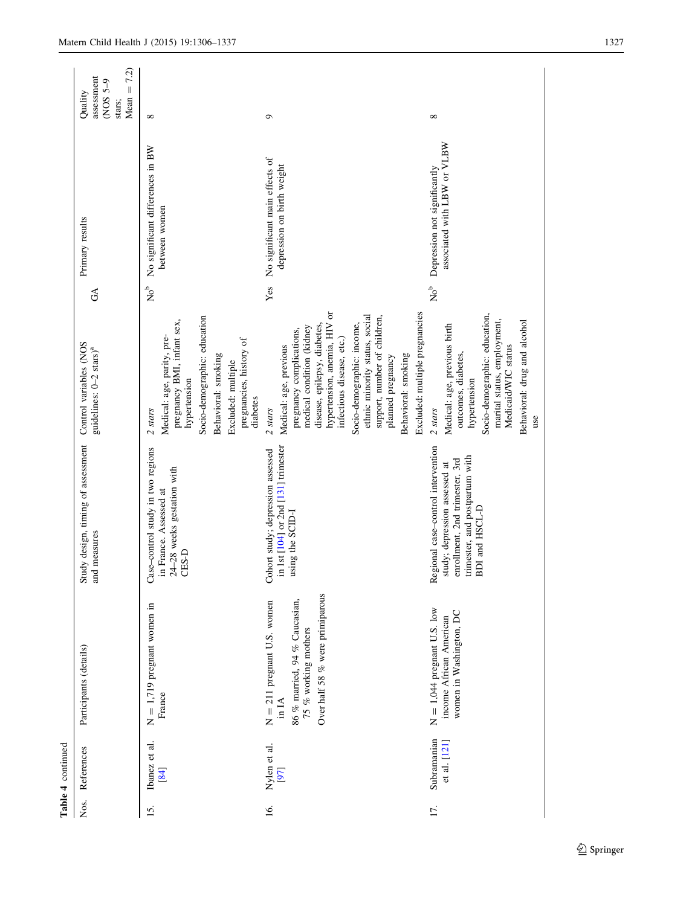|      | Table 4 continued               |                                                                                                                                      |                                                                                                                                                           |                                                                                                                                                                                                                                                                                                                                                                       |                          |                                                              |                                                                                                                                          |
|------|---------------------------------|--------------------------------------------------------------------------------------------------------------------------------------|-----------------------------------------------------------------------------------------------------------------------------------------------------------|-----------------------------------------------------------------------------------------------------------------------------------------------------------------------------------------------------------------------------------------------------------------------------------------------------------------------------------------------------------------------|--------------------------|--------------------------------------------------------------|------------------------------------------------------------------------------------------------------------------------------------------|
| Nos. | References                      | Participants (details)                                                                                                               | Study design, timing of assessment<br>and measures                                                                                                        | Control variables (NOS<br>guidelines: 0-2 stars) <sup>a</sup>                                                                                                                                                                                                                                                                                                         | $\Im$                    | Primary results                                              | 7.2)<br>assessment<br>(NOS 5-9<br>$\label{eq:1} \prod_{i=1}^n \left\{ \prod_{i=1}^n \frac{1}{n_i} \right\}$<br>Quality<br>Mean<br>stars; |
| 15.  | Ibanez et al.<br>[84]           | $N = 1,719$ pregnant women in<br>France                                                                                              | Case-control study in two regions<br>24-28 weeks gestation with<br>in France. Assessed at<br>CES-D                                                        | Socio-demographic: education<br>pregnancy BMI, infant sex,<br>Medical: age, parity, pre-<br>pregnancies, history of<br>Behavioral: smoking<br>Excluded: multiple<br>hypertension<br>diabetes<br>2 stars                                                                                                                                                               | $\mathsf{R}^\mathtt{b}$  | No significant differences in BW<br>between women            | $\infty$                                                                                                                                 |
| 16.  | Nylen et al.<br>[6]             | Over half 58 % were primiparous<br>86 % married, 94 % Caucasian,<br>$N = 211$ pregnant U.S. women<br>75 % working mothers<br>in $IA$ | in 1st [104] or 2nd [131] trimester<br>Cohort study; depression assessed<br>using the SCID-I                                                              | hypertension, anemia, HIV or<br>Excluded: multiple pregnancies<br>ethnic minority status, social<br>support, number of children,<br>Socio-demographic: income,<br>disease, epilepsy, diabetes,<br>medical condition (kidney<br>pregnancy complications,<br>infectious disease, etc.)<br>Medical: age, previous<br>Behavioral: smoking<br>planned pregnancy<br>2 stars | Yes                      | No significant main effects of<br>depression on birth weight | ٥                                                                                                                                        |
| 17.  | Subramanian<br>$et$ al. $[121]$ | $N = 1,044$ pregnant U.S. low<br>women in Washington, DC<br>income African American                                                  | Regional case-control intervention<br>trimester, and postpartum with<br>enrollment, 2nd trimester, 3rd<br>study; depression assessed at<br>BDI and HSCL-D | Socio-demographic: education,<br>marital status, employment,<br>Behavioral: drug and alcohol<br>Medical: age, previous birth<br>Medicaid/WIC status<br>outcomes, diabetes,<br>hypertension<br>2 stars<br>$_{\text{use}}$                                                                                                                                              | $\mathrm{No}^\mathrm{b}$ | associated with LBW or VLBW<br>Depression not significantly  | ${}^{\circ}$                                                                                                                             |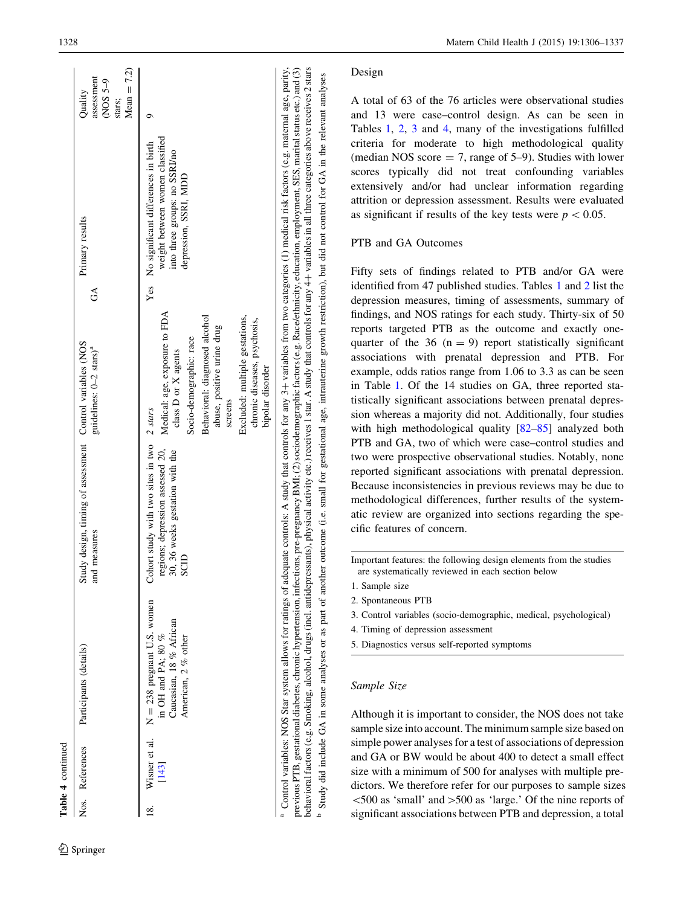| Table 4 continued        |                                                                                                       |                                                                                                                                                                                                                                                                                                                                                                                                                                                                                                                                                                                                                                      |                                                                                                                                                                                                                                                 |       |                                                                                                                                      |                                                                |
|--------------------------|-------------------------------------------------------------------------------------------------------|--------------------------------------------------------------------------------------------------------------------------------------------------------------------------------------------------------------------------------------------------------------------------------------------------------------------------------------------------------------------------------------------------------------------------------------------------------------------------------------------------------------------------------------------------------------------------------------------------------------------------------------|-------------------------------------------------------------------------------------------------------------------------------------------------------------------------------------------------------------------------------------------------|-------|--------------------------------------------------------------------------------------------------------------------------------------|----------------------------------------------------------------|
| Nos. References          | Participants (details)                                                                                | Study design, timing of assessment Control variables (NOS<br>and measures                                                                                                                                                                                                                                                                                                                                                                                                                                                                                                                                                            | guidelines: $0-2$ stars) <sup>a</sup>                                                                                                                                                                                                           | $\Im$ | Primary results                                                                                                                      | Mean $= 7.2$ )<br>assessment<br>$(NOS-9)$<br>Quality<br>stars; |
| Wisner et al.<br>$[143]$ | $N = 238$ pregnant U.S. women<br>Caucasian, 18 % African<br>in OH and PA; 80 %<br>American, 2 % other | Cohort study with two sites in two $2$ stars<br>regions; depression assessed 20,<br>30, 36 weeks gestation with the<br>SCID                                                                                                                                                                                                                                                                                                                                                                                                                                                                                                          | Medical: age, exposure to FDA<br>Excluded: multiple gestations,<br>Behavioral: diagnosed alcohol<br>chronic diseases, psychosis,<br>abuse, positive urine drug<br>Socio-demographic: race<br>class D or X agents<br>bipolar disorder<br>screens |       | weight between women classified<br>Yes No significant differences in birth<br>into three groups: no SSRI/no<br>depression, SSRI, MDD | σ                                                              |
|                          |                                                                                                       | <sup>3</sup> Control variables: NOS Star system allows for ratings of adequate controls. A study that controls for any 3+ variables from two categories (1) medical risk factors (e.g. maternal age, parity,<br>previous PTB, gestational diabetes, chronic hypertension, infections, pre-pregnancy BMI; (2) sociodemographic factors (e.g. Race/ethnicity, education, employment, SES, marital status etc.) and (3)<br>behavioral factors (e.g. Smoking, alcohol, drugs (incl. antidepressants), physical activity etc.) receives 1 star. A study that controls for any 4+ variables in all three categories above receives 2 stars |                                                                                                                                                                                                                                                 |       |                                                                                                                                      |                                                                |

# Design

A total of 63 of the 76 articles were observational studies and 13 were case–control design. As can be seen in Tables [1](#page-3-0), [2,](#page-7-0) [3](#page-15-0) and [4,](#page-18-0) many of the investigations fulfilled criteria for moderate to high methodological quality (median NOS score  $= 7$ , range of 5–9). Studies with lower scores typically did not treat confounding variables extensively and/or had unclear information regarding attrition or depression assessment. Results were evaluated as significant if results of the key tests were  $p < 0.05$ .

# PTB and GA Outcomes

Fifty sets of findings related to PTB and/or GA were identified from 47 published studies. Tables [1](#page-3-0) and [2](#page-7-0) list the depression measures, timing of assessments, summary of findings, and NOS ratings for each study. Thirty-six of 50 reports targeted PTB as the outcome and exactly onequarter of the 36  $(n = 9)$  report statistically significant associations with prenatal depression and PTB. For example, odds ratios range from 1.06 to 3.3 as can be seen in Table [1](#page-3-0). Of the 14 studies on GA, three reported statistically significant associations between prenatal depression whereas a majority did not. Additionally, four studies with high methodological quality [\[82–85](#page-29-0)] analyzed both PTB and GA, two of which were case–control studies and two were prospective observational studies. Notably, none reported significant associations with prenatal depression. Because inconsistencies in previous reviews may be due to methodological differences, further results of the systematic review are organized into sections regarding the specific features of concern.

Study did include GA in some analyses or as part of another outcome (i.e. small for gestational age, intrauterine growth restriction), but did not control for GA in the relevant analyses

Study did include GA in some analyses or as part of another outcome (i.e. small for gestational age, intrauterine growth restriction), but did not control for GA in the relevant analyses

ء

## Sample Size

Although it is important to consider, the NOS does not take sample size into account. The minimum sample size based on simple power analyses for a test of associations of depression and GA or BW would be about 400 to detect a small effect size with a minimum of 500 for analyses with multiple predictors. We therefore refer for our purposes to sample sizes  $\leq$ 500 as 'small' and  $>$ 500 as 'large.' Of the nine reports of significant associations between PTB and depression, a total

Important features: the following design elements from the studies are systematically reviewed in each section below

<sup>1.</sup> Sample size

<sup>2.</sup> Spontaneous PTB

<sup>3.</sup> Control variables (socio-demographic, medical, psychological)

<sup>4.</sup> Timing of depression assessment

<sup>5.</sup> Diagnostics versus self-reported symptoms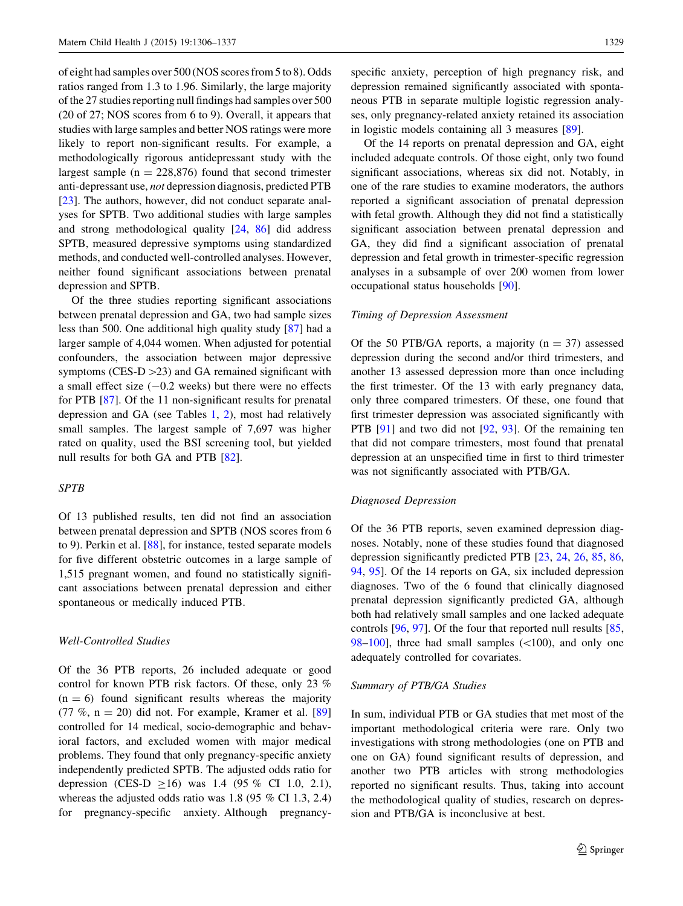of eight had samples over 500 (NOS scores from 5 to 8). Odds ratios ranged from 1.3 to 1.96. Similarly, the large majority of the 27 studies reporting null findings had samples over 500 (20 of 27; NOS scores from 6 to 9). Overall, it appears that studies with large samples and better NOS ratings were more likely to report non-significant results. For example, a methodologically rigorous antidepressant study with the largest sample  $(n = 228,876)$  found that second trimester anti-depressant use, not depression diagnosis, predicted PTB [\[23](#page-27-0)]. The authors, however, did not conduct separate analyses for SPTB. Two additional studies with large samples and strong methodological quality [[24,](#page-27-0) [86\]](#page-29-0) did address SPTB, measured depressive symptoms using standardized methods, and conducted well-controlled analyses. However, neither found significant associations between prenatal depression and SPTB.

Of the three studies reporting significant associations between prenatal depression and GA, two had sample sizes less than 500. One additional high quality study [\[87](#page-29-0)] had a larger sample of 4,044 women. When adjusted for potential confounders, the association between major depressive symptoms (CES- $D > 23$ ) and GA remained significant with a small effect size  $(-0.2$  weeks) but there were no effects for PTB [\[87](#page-29-0)]. Of the 11 non-significant results for prenatal depression and GA (see Tables [1,](#page-3-0) [2](#page-7-0)), most had relatively small samples. The largest sample of 7,697 was higher rated on quality, used the BSI screening tool, but yielded null results for both GA and PTB [[82\]](#page-29-0).

#### SPTB

Of 13 published results, ten did not find an association between prenatal depression and SPTB (NOS scores from 6 to 9). Perkin et al. [[88\]](#page-29-0), for instance, tested separate models for five different obstetric outcomes in a large sample of 1,515 pregnant women, and found no statistically significant associations between prenatal depression and either spontaneous or medically induced PTB.

## Well-Controlled Studies

Of the 36 PTB reports, 26 included adequate or good control for known PTB risk factors. Of these, only 23 %  $(n = 6)$  found significant results whereas the majority (77 %,  $n = 20$ ) did not. For example, Kramer et al. [[89\]](#page-29-0) controlled for 14 medical, socio-demographic and behavioral factors, and excluded women with major medical problems. They found that only pregnancy-specific anxiety independently predicted SPTB. The adjusted odds ratio for depression (CES-D  $\geq$ 16) was 1.4 (95 % CI 1.0, 2.1), whereas the adjusted odds ratio was 1.8 (95 % CI 1.3, 2.4) for pregnancy-specific anxiety. Although pregnancyspecific anxiety, perception of high pregnancy risk, and depression remained significantly associated with spontaneous PTB in separate multiple logistic regression analyses, only pregnancy-related anxiety retained its association in logistic models containing all 3 measures [[89\]](#page-29-0).

Of the 14 reports on prenatal depression and GA, eight included adequate controls. Of those eight, only two found significant associations, whereas six did not. Notably, in one of the rare studies to examine moderators, the authors reported a significant association of prenatal depression with fetal growth. Although they did not find a statistically significant association between prenatal depression and GA, they did find a significant association of prenatal depression and fetal growth in trimester-specific regression analyses in a subsample of over 200 women from lower occupational status households [\[90](#page-29-0)].

#### Timing of Depression Assessment

Of the 50 PTB/GA reports, a majority  $(n = 37)$  assessed depression during the second and/or third trimesters, and another 13 assessed depression more than once including the first trimester. Of the 13 with early pregnancy data, only three compared trimesters. Of these, one found that first trimester depression was associated significantly with PTB [\[91](#page-29-0)] and two did not [[92,](#page-29-0) [93\]](#page-29-0). Of the remaining ten that did not compare trimesters, most found that prenatal depression at an unspecified time in first to third trimester was not significantly associated with PTB/GA.

#### Diagnosed Depression

Of the 36 PTB reports, seven examined depression diagnoses. Notably, none of these studies found that diagnosed depression significantly predicted PTB [[23,](#page-27-0) [24](#page-27-0), [26,](#page-27-0) [85](#page-29-0), [86,](#page-29-0) [94](#page-29-0), [95\]](#page-29-0). Of the 14 reports on GA, six included depression diagnoses. Two of the 6 found that clinically diagnosed prenatal depression significantly predicted GA, although both had relatively small samples and one lacked adequate controls [[96,](#page-30-0) [97\]](#page-30-0). Of the four that reported null results [[85,](#page-29-0) [98–100](#page-30-0)], three had small samples  $(\leq 100)$ , and only one adequately controlled for covariates.

## Summary of PTB/GA Studies

In sum, individual PTB or GA studies that met most of the important methodological criteria were rare. Only two investigations with strong methodologies (one on PTB and one on GA) found significant results of depression, and another two PTB articles with strong methodologies reported no significant results. Thus, taking into account the methodological quality of studies, research on depression and PTB/GA is inconclusive at best.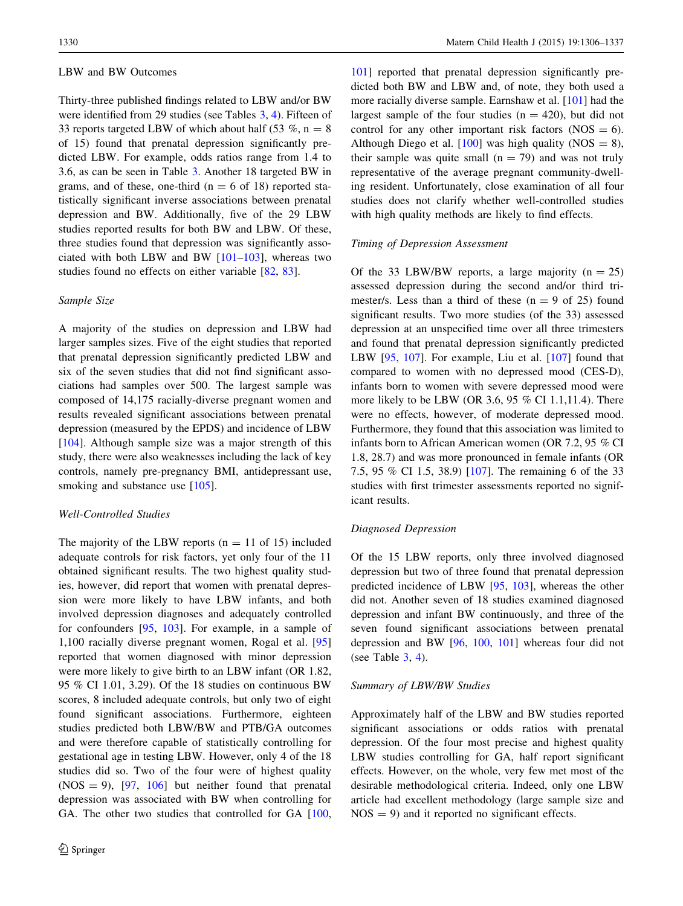#### LBW and BW Outcomes

Thirty-three published findings related to LBW and/or BW were identified from 29 studies (see Tables [3,](#page-15-0) [4\)](#page-18-0). Fifteen of 33 reports targeted LBW of which about half (53 %,  $n = 8$ ) of 15) found that prenatal depression significantly predicted LBW. For example, odds ratios range from 1.4 to 3.6, as can be seen in Table [3.](#page-15-0) Another 18 targeted BW in grams, and of these, one-third ( $n = 6$  of 18) reported statistically significant inverse associations between prenatal depression and BW. Additionally, five of the 29 LBW studies reported results for both BW and LBW. Of these, three studies found that depression was significantly associated with both LBW and BW  $[101–103]$  $[101–103]$ , whereas two studies found no effects on either variable [[82,](#page-29-0) [83](#page-29-0)].

## Sample Size

A majority of the studies on depression and LBW had larger samples sizes. Five of the eight studies that reported that prenatal depression significantly predicted LBW and six of the seven studies that did not find significant associations had samples over 500. The largest sample was composed of 14,175 racially-diverse pregnant women and results revealed significant associations between prenatal depression (measured by the EPDS) and incidence of LBW [\[104](#page-30-0)]. Although sample size was a major strength of this study, there were also weaknesses including the lack of key controls, namely pre-pregnancy BMI, antidepressant use, smoking and substance use [[105\]](#page-30-0).

## Well-Controlled Studies

The majority of the LBW reports  $(n = 11$  of 15) included adequate controls for risk factors, yet only four of the 11 obtained significant results. The two highest quality studies, however, did report that women with prenatal depression were more likely to have LBW infants, and both involved depression diagnoses and adequately controlled for confounders [[95,](#page-29-0) [103\]](#page-30-0). For example, in a sample of 1,100 racially diverse pregnant women, Rogal et al. [[95\]](#page-29-0) reported that women diagnosed with minor depression were more likely to give birth to an LBW infant (OR 1.82, 95 % CI 1.01, 3.29). Of the 18 studies on continuous BW scores, 8 included adequate controls, but only two of eight found significant associations. Furthermore, eighteen studies predicted both LBW/BW and PTB/GA outcomes and were therefore capable of statistically controlling for gestational age in testing LBW. However, only 4 of the 18 studies did so. Two of the four were of highest quality  $(NOS = 9)$ , [\[97](#page-30-0), [106\]](#page-30-0) but neither found that prenatal depression was associated with BW when controlling for GA. The other two studies that controlled for GA [[100,](#page-30-0)

[101](#page-30-0)] reported that prenatal depression significantly predicted both BW and LBW and, of note, they both used a more racially diverse sample. Earnshaw et al. [\[101](#page-30-0)] had the largest sample of the four studies  $(n = 420)$ , but did not control for any other important risk factors  $(NOS = 6)$ . Although Diego et al.  $[100]$  $[100]$  was high quality (NOS = 8), their sample was quite small  $(n = 79)$  and was not truly representative of the average pregnant community-dwelling resident. Unfortunately, close examination of all four studies does not clarify whether well-controlled studies with high quality methods are likely to find effects.

#### Timing of Depression Assessment

Of the 33 LBW/BW reports, a large majority  $(n = 25)$ assessed depression during the second and/or third trimester/s. Less than a third of these  $(n = 9 \text{ of } 25)$  found significant results. Two more studies (of the 33) assessed depression at an unspecified time over all three trimesters and found that prenatal depression significantly predicted LBW [[95](#page-29-0), [107\]](#page-30-0). For example, Liu et al. [[107\]](#page-30-0) found that compared to women with no depressed mood (CES-D), infants born to women with severe depressed mood were more likely to be LBW (OR 3.6, 95 % CI 1.1,11.4). There were no effects, however, of moderate depressed mood. Furthermore, they found that this association was limited to infants born to African American women (OR 7.2, 95 % CI 1.8, 28.7) and was more pronounced in female infants (OR 7.5, 95 % CI 1.5, 38.9) [[107\]](#page-30-0). The remaining 6 of the 33 studies with first trimester assessments reported no significant results.

#### Diagnosed Depression

Of the 15 LBW reports, only three involved diagnosed depression but two of three found that prenatal depression predicted incidence of LBW [[95,](#page-29-0) [103\]](#page-30-0), whereas the other did not. Another seven of 18 studies examined diagnosed depression and infant BW continuously, and three of the seven found significant associations between prenatal depression and BW [[96,](#page-30-0) [100](#page-30-0), [101\]](#page-30-0) whereas four did not (see Table [3,](#page-15-0) [4\)](#page-18-0).

#### Summary of LBW/BW Studies

Approximately half of the LBW and BW studies reported significant associations or odds ratios with prenatal depression. Of the four most precise and highest quality LBW studies controlling for GA, half report significant effects. However, on the whole, very few met most of the desirable methodological criteria. Indeed, only one LBW article had excellent methodology (large sample size and  $NOS = 9$ ) and it reported no significant effects.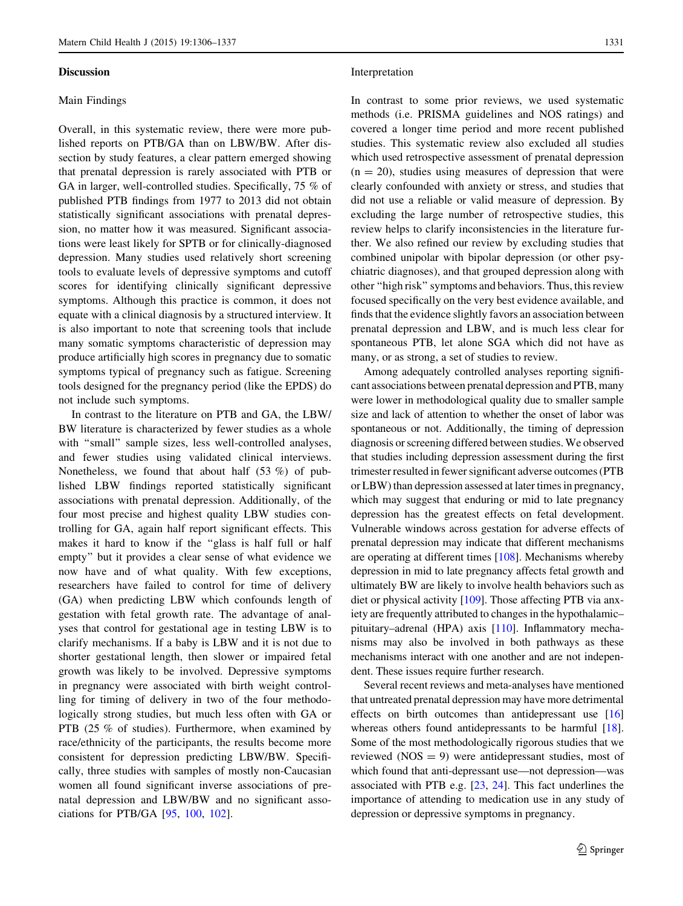#### **Discussion**

#### Main Findings

Overall, in this systematic review, there were more published reports on PTB/GA than on LBW/BW. After dissection by study features, a clear pattern emerged showing that prenatal depression is rarely associated with PTB or GA in larger, well-controlled studies. Specifically, 75 % of published PTB findings from 1977 to 2013 did not obtain statistically significant associations with prenatal depression, no matter how it was measured. Significant associations were least likely for SPTB or for clinically-diagnosed depression. Many studies used relatively short screening tools to evaluate levels of depressive symptoms and cutoff scores for identifying clinically significant depressive symptoms. Although this practice is common, it does not equate with a clinical diagnosis by a structured interview. It is also important to note that screening tools that include many somatic symptoms characteristic of depression may produce artificially high scores in pregnancy due to somatic symptoms typical of pregnancy such as fatigue. Screening tools designed for the pregnancy period (like the EPDS) do not include such symptoms.

In contrast to the literature on PTB and GA, the LBW/ BW literature is characterized by fewer studies as a whole with "small" sample sizes, less well-controlled analyses, and fewer studies using validated clinical interviews. Nonetheless, we found that about half (53 %) of published LBW findings reported statistically significant associations with prenatal depression. Additionally, of the four most precise and highest quality LBW studies controlling for GA, again half report significant effects. This makes it hard to know if the ''glass is half full or half empty'' but it provides a clear sense of what evidence we now have and of what quality. With few exceptions, researchers have failed to control for time of delivery (GA) when predicting LBW which confounds length of gestation with fetal growth rate. The advantage of analyses that control for gestational age in testing LBW is to clarify mechanisms. If a baby is LBW and it is not due to shorter gestational length, then slower or impaired fetal growth was likely to be involved. Depressive symptoms in pregnancy were associated with birth weight controlling for timing of delivery in two of the four methodologically strong studies, but much less often with GA or PTB (25 % of studies). Furthermore, when examined by race/ethnicity of the participants, the results become more consistent for depression predicting LBW/BW. Specifically, three studies with samples of mostly non-Caucasian women all found significant inverse associations of prenatal depression and LBW/BW and no significant associations for PTB/GA [[95,](#page-29-0) [100](#page-30-0), [102\]](#page-30-0).

#### Interpretation

In contrast to some prior reviews, we used systematic methods (i.e. PRISMA guidelines and NOS ratings) and covered a longer time period and more recent published studies. This systematic review also excluded all studies which used retrospective assessment of prenatal depression  $(n = 20)$ , studies using measures of depression that were clearly confounded with anxiety or stress, and studies that did not use a reliable or valid measure of depression. By excluding the large number of retrospective studies, this review helps to clarify inconsistencies in the literature further. We also refined our review by excluding studies that combined unipolar with bipolar depression (or other psychiatric diagnoses), and that grouped depression along with other ''high risk'' symptoms and behaviors. Thus, this review focused specifically on the very best evidence available, and finds that the evidence slightly favors an association between prenatal depression and LBW, and is much less clear for spontaneous PTB, let alone SGA which did not have as many, or as strong, a set of studies to review.

Among adequately controlled analyses reporting significant associations between prenatal depression and PTB, many were lower in methodological quality due to smaller sample size and lack of attention to whether the onset of labor was spontaneous or not. Additionally, the timing of depression diagnosis or screening differed between studies. We observed that studies including depression assessment during the first trimester resulted in fewer significant adverse outcomes (PTB or LBW) than depression assessed at later times in pregnancy, which may suggest that enduring or mid to late pregnancy depression has the greatest effects on fetal development. Vulnerable windows across gestation for adverse effects of prenatal depression may indicate that different mechanisms are operating at different times [[108](#page-30-0)]. Mechanisms whereby depression in mid to late pregnancy affects fetal growth and ultimately BW are likely to involve health behaviors such as diet or physical activity [[109](#page-30-0)]. Those affecting PTB via anxiety are frequently attributed to changes in the hypothalamic– pituitary–adrenal (HPA) axis [\[110\]](#page-30-0). Inflammatory mechanisms may also be involved in both pathways as these mechanisms interact with one another and are not independent. These issues require further research.

Several recent reviews and meta-analyses have mentioned that untreated prenatal depression may have more detrimental effects on birth outcomes than antidepressant use [\[16\]](#page-27-0) whereas others found antidepressants to be harmful [[18\]](#page-27-0). Some of the most methodologically rigorous studies that we reviewed  $(NOS = 9)$  were antidepressant studies, most of which found that anti-depressant use—not depression—was associated with PTB e.g. [[23](#page-27-0), [24](#page-27-0)]. This fact underlines the importance of attending to medication use in any study of depression or depressive symptoms in pregnancy.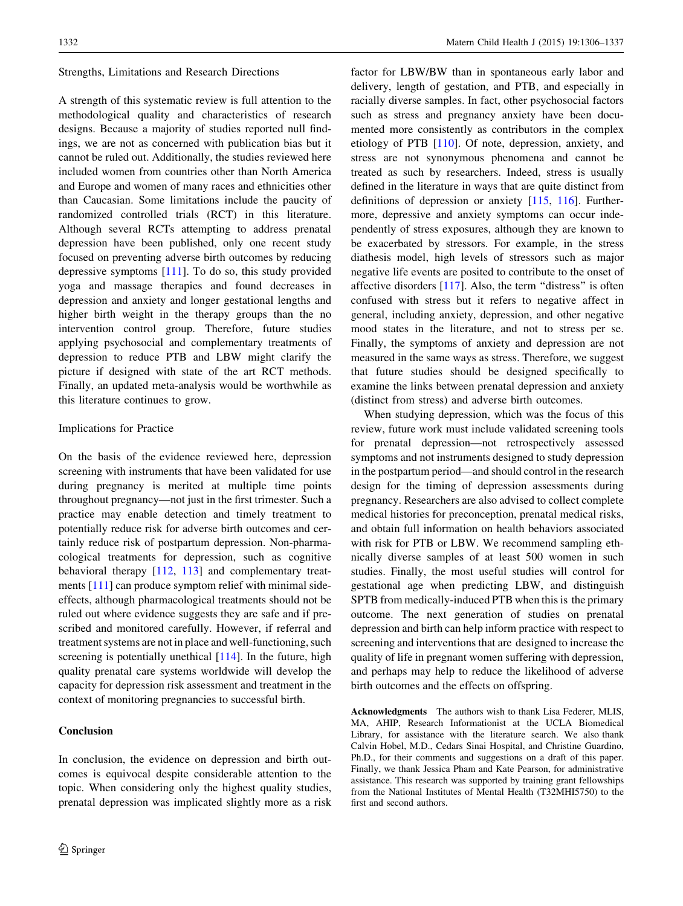#### Strengths, Limitations and Research Directions

A strength of this systematic review is full attention to the methodological quality and characteristics of research designs. Because a majority of studies reported null findings, we are not as concerned with publication bias but it cannot be ruled out. Additionally, the studies reviewed here included women from countries other than North America and Europe and women of many races and ethnicities other than Caucasian. Some limitations include the paucity of randomized controlled trials (RCT) in this literature. Although several RCTs attempting to address prenatal depression have been published, only one recent study focused on preventing adverse birth outcomes by reducing depressive symptoms [\[111](#page-30-0)]. To do so, this study provided yoga and massage therapies and found decreases in depression and anxiety and longer gestational lengths and higher birth weight in the therapy groups than the no intervention control group. Therefore, future studies applying psychosocial and complementary treatments of depression to reduce PTB and LBW might clarify the picture if designed with state of the art RCT methods. Finally, an updated meta-analysis would be worthwhile as this literature continues to grow.

#### Implications for Practice

On the basis of the evidence reviewed here, depression screening with instruments that have been validated for use during pregnancy is merited at multiple time points throughout pregnancy—not just in the first trimester. Such a practice may enable detection and timely treatment to potentially reduce risk for adverse birth outcomes and certainly reduce risk of postpartum depression. Non-pharmacological treatments for depression, such as cognitive behavioral therapy [\[112](#page-30-0), [113](#page-30-0)] and complementary treatments [\[111](#page-30-0)] can produce symptom relief with minimal sideeffects, although pharmacological treatments should not be ruled out where evidence suggests they are safe and if prescribed and monitored carefully. However, if referral and treatment systems are not in place and well-functioning, such screening is potentially unethical [\[114](#page-30-0)]. In the future, high quality prenatal care systems worldwide will develop the capacity for depression risk assessment and treatment in the context of monitoring pregnancies to successful birth.

# **Conclusion**

In conclusion, the evidence on depression and birth outcomes is equivocal despite considerable attention to the topic. When considering only the highest quality studies, prenatal depression was implicated slightly more as a risk

factor for LBW/BW than in spontaneous early labor and delivery, length of gestation, and PTB, and especially in racially diverse samples. In fact, other psychosocial factors such as stress and pregnancy anxiety have been documented more consistently as contributors in the complex etiology of PTB [\[110](#page-30-0)]. Of note, depression, anxiety, and stress are not synonymous phenomena and cannot be treated as such by researchers. Indeed, stress is usually defined in the literature in ways that are quite distinct from definitions of depression or anxiety [[115,](#page-30-0) [116\]](#page-30-0). Furthermore, depressive and anxiety symptoms can occur independently of stress exposures, although they are known to be exacerbated by stressors. For example, in the stress diathesis model, high levels of stressors such as major negative life events are posited to contribute to the onset of affective disorders  $[117]$  $[117]$ . Also, the term "distress" is often confused with stress but it refers to negative affect in general, including anxiety, depression, and other negative mood states in the literature, and not to stress per se. Finally, the symptoms of anxiety and depression are not measured in the same ways as stress. Therefore, we suggest that future studies should be designed specifically to examine the links between prenatal depression and anxiety (distinct from stress) and adverse birth outcomes.

When studying depression, which was the focus of this review, future work must include validated screening tools for prenatal depression—not retrospectively assessed symptoms and not instruments designed to study depression in the postpartum period—and should control in the research design for the timing of depression assessments during pregnancy. Researchers are also advised to collect complete medical histories for preconception, prenatal medical risks, and obtain full information on health behaviors associated with risk for PTB or LBW. We recommend sampling ethnically diverse samples of at least 500 women in such studies. Finally, the most useful studies will control for gestational age when predicting LBW, and distinguish SPTB from medically-induced PTB when this is the primary outcome. The next generation of studies on prenatal depression and birth can help inform practice with respect to screening and interventions that are designed to increase the quality of life in pregnant women suffering with depression, and perhaps may help to reduce the likelihood of adverse birth outcomes and the effects on offspring.

Acknowledgments The authors wish to thank Lisa Federer, MLIS, MA, AHIP, Research Informationist at the UCLA Biomedical Library, for assistance with the literature search. We also thank Calvin Hobel, M.D., Cedars Sinai Hospital, and Christine Guardino, Ph.D., for their comments and suggestions on a draft of this paper. Finally, we thank Jessica Pham and Kate Pearson, for administrative assistance. This research was supported by training grant fellowships from the National Institutes of Mental Health (T32MHI5750) to the first and second authors.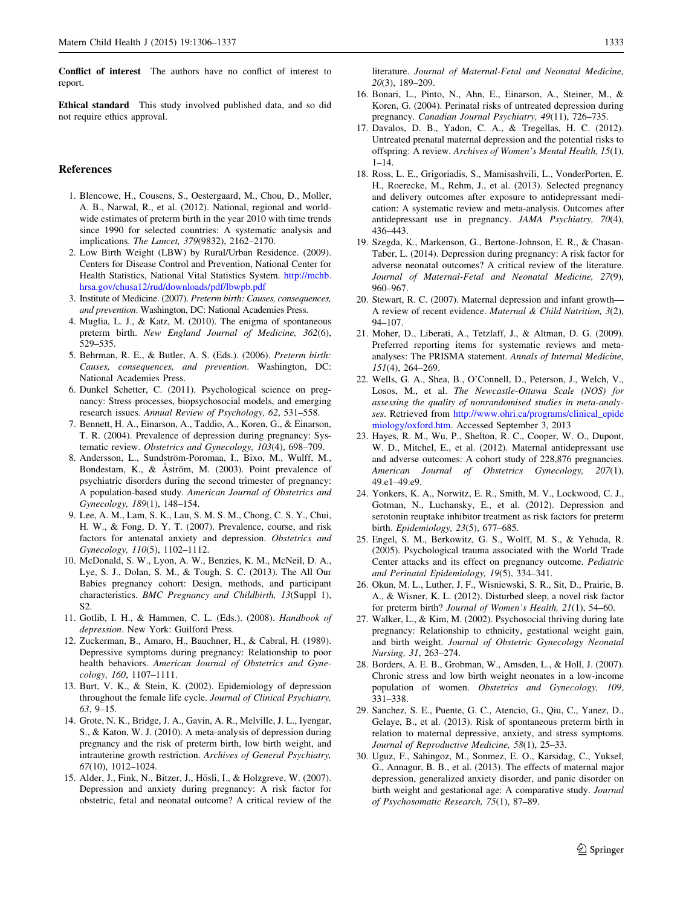<span id="page-27-0"></span>Conflict of interest The authors have no conflict of interest to report.

Ethical standard This study involved published data, and so did not require ethics approval.

## References

- 1. Blencowe, H., Cousens, S., Oestergaard, M., Chou, D., Moller, A. B., Narwal, R., et al. (2012). National, regional and worldwide estimates of preterm birth in the year 2010 with time trends since 1990 for selected countries: A systematic analysis and implications. The Lancet, 379(9832), 2162–2170.
- 2. Low Birth Weight (LBW) by Rural/Urban Residence. (2009). Centers for Disease Control and Prevention, National Center for Health Statistics, National Vital Statistics System. [http://mchb.](http://mchb.hrsa.gov/chusa12/rud/downloads/pdf/lbwpb.pdf) [hrsa.gov/chusa12/rud/downloads/pdf/lbwpb.pdf](http://mchb.hrsa.gov/chusa12/rud/downloads/pdf/lbwpb.pdf)
- 3. Institute of Medicine. (2007). Preterm birth: Causes, consequences, and prevention. Washington, DC: National Academies Press.
- 4. Muglia, L. J., & Katz, M. (2010). The enigma of spontaneous preterm birth. New England Journal of Medicine, 362(6), 529–535.
- 5. Behrman, R. E., & Butler, A. S. (Eds.). (2006). Preterm birth: Causes, consequences, and prevention. Washington, DC: National Academies Press.
- 6. Dunkel Schetter, C. (2011). Psychological science on pregnancy: Stress processes, biopsychosocial models, and emerging research issues. Annual Review of Psychology, 62, 531–558.
- 7. Bennett, H. A., Einarson, A., Taddio, A., Koren, G., & Einarson, T. R. (2004). Prevalence of depression during pregnancy: Systematic review. Obstetrics and Gynecology, 103(4), 698–709.
- 8. Andersson, L., Sundström-Poromaa, I., Bixo, M., Wulff, M., Bondestam, K., & Aström, M. (2003). Point prevalence of psychiatric disorders during the second trimester of pregnancy: A population-based study. American Journal of Obstetrics and Gynecology, 189(1), 148–154.
- 9. Lee, A. M., Lam, S. K., Lau, S. M. S. M., Chong, C. S. Y., Chui, H. W., & Fong, D. Y. T. (2007). Prevalence, course, and risk factors for antenatal anxiety and depression. Obstetrics and Gynecology, 110(5), 1102–1112.
- 10. McDonald, S. W., Lyon, A. W., Benzies, K. M., McNeil, D. A., Lye, S. J., Dolan, S. M., & Tough, S. C. (2013). The All Our Babies pregnancy cohort: Design, methods, and participant characteristics. BMC Pregnancy and Childbirth, 13(Suppl 1), S2.
- 11. Gotlib, I. H., & Hammen, C. L. (Eds.). (2008). Handbook of depression. New York: Guilford Press.
- 12. Zuckerman, B., Amaro, H., Bauchner, H., & Cabral, H. (1989). Depressive symptoms during pregnancy: Relationship to poor health behaviors. American Journal of Obstetrics and Gynecology, 160, 1107–1111.
- 13. Burt, V. K., & Stein, K. (2002). Epidemiology of depression throughout the female life cycle. Journal of Clinical Psychiatry, 63, 9–15.
- 14. Grote, N. K., Bridge, J. A., Gavin, A. R., Melville, J. L., Iyengar, S., & Katon, W. J. (2010). A meta-analysis of depression during pregnancy and the risk of preterm birth, low birth weight, and intrauterine growth restriction. Archives of General Psychiatry, 67(10), 1012–1024.
- 15. Alder, J., Fink, N., Bitzer, J., Hösli, I., & Holzgreve, W. (2007). Depression and anxiety during pregnancy: A risk factor for obstetric, fetal and neonatal outcome? A critical review of the

literature. Journal of Maternal-Fetal and Neonatal Medicine, 20(3), 189–209.

- 16. Bonari, L., Pinto, N., Ahn, E., Einarson, A., Steiner, M., & Koren, G. (2004). Perinatal risks of untreated depression during pregnancy. Canadian Journal Psychiatry, 49(11), 726–735.
- 17. Davalos, D. B., Yadon, C. A., & Tregellas, H. C. (2012). Untreated prenatal maternal depression and the potential risks to offspring: A review. Archives of Women's Mental Health, 15(1),  $1 - 14.$
- 18. Ross, L. E., Grigoriadis, S., Mamisashvili, L., VonderPorten, E. H., Roerecke, M., Rehm, J., et al. (2013). Selected pregnancy and delivery outcomes after exposure to antidepressant medication: A systematic review and meta-analysis. Outcomes after antidepressant use in pregnancy. JAMA Psychiatry, 70(4), 436–443.
- 19. Szegda, K., Markenson, G., Bertone-Johnson, E. R., & Chasan-Taber, L. (2014). Depression during pregnancy: A risk factor for adverse neonatal outcomes? A critical review of the literature. Journal of Maternal-Fetal and Neonatal Medicine, 27(9), 960–967.
- 20. Stewart, R. C. (2007). Maternal depression and infant growth— A review of recent evidence. Maternal & Child Nutrition, 3(2), 94–107.
- 21. Moher, D., Liberati, A., Tetzlaff, J., & Altman, D. G. (2009). Preferred reporting items for systematic reviews and metaanalyses: The PRISMA statement. Annals of Internal Medicine, 151(4), 264–269.
- 22. Wells, G. A., Shea, B., O'Connell, D., Peterson, J., Welch, V., Losos, M., et al. The Newcastle-Ottawa Scale (NOS) for assessing the quality of nonrandomised studies in meta-analyses. Retrieved from [http://www.ohri.ca/programs/clinical\\_epide](http://www.ohri.ca/programs/clinical_epidemiology/oxford.htm) [miology/oxford.htm](http://www.ohri.ca/programs/clinical_epidemiology/oxford.htm). Accessed September 3, 2013
- 23. Hayes, R. M., Wu, P., Shelton, R. C., Cooper, W. O., Dupont, W. D., Mitchel, E., et al. (2012). Maternal antidepressant use and adverse outcomes: A cohort study of 228,876 pregnancies. American Journal of Obstetrics Gynecology, 207(1), 49.e1–49.e9.
- 24. Yonkers, K. A., Norwitz, E. R., Smith, M. V., Lockwood, C. J., Gotman, N., Luchansky, E., et al. (2012). Depression and serotonin reuptake inhibitor treatment as risk factors for preterm birth. Epidemiology, 23(5), 677–685.
- 25. Engel, S. M., Berkowitz, G. S., Wolff, M. S., & Yehuda, R. (2005). Psychological trauma associated with the World Trade Center attacks and its effect on pregnancy outcome. Pediatric and Perinatal Epidemiology, 19(5), 334–341.
- 26. Okun, M. L., Luther, J. F., Wisniewski, S. R., Sit, D., Prairie, B. A., & Wisner, K. L. (2012). Disturbed sleep, a novel risk factor for preterm birth? Journal of Women's Health, 21(1), 54–60.
- 27. Walker, L., & Kim, M. (2002). Psychosocial thriving during late pregnancy: Relationship to ethnicity, gestational weight gain, and birth weight. Journal of Obstetric Gynecology Neonatal Nursing, 31, 263–274.
- 28. Borders, A. E. B., Grobman, W., Amsden, L., & Holl, J. (2007). Chronic stress and low birth weight neonates in a low-income population of women. Obstetrics and Gynecology, 109, 331–338.
- 29. Sanchez, S. E., Puente, G. C., Atencio, G., Qiu, C., Yanez, D., Gelaye, B., et al. (2013). Risk of spontaneous preterm birth in relation to maternal depressive, anxiety, and stress symptoms. Journal of Reproductive Medicine, 58(1), 25–33.
- 30. Uguz, F., Sahingoz, M., Sonmez, E. O., Karsidag, C., Yuksel, G., Annagur, B. B., et al. (2013). The effects of maternal major depression, generalized anxiety disorder, and panic disorder on birth weight and gestational age: A comparative study. Journal of Psychosomatic Research, 75(1), 87–89.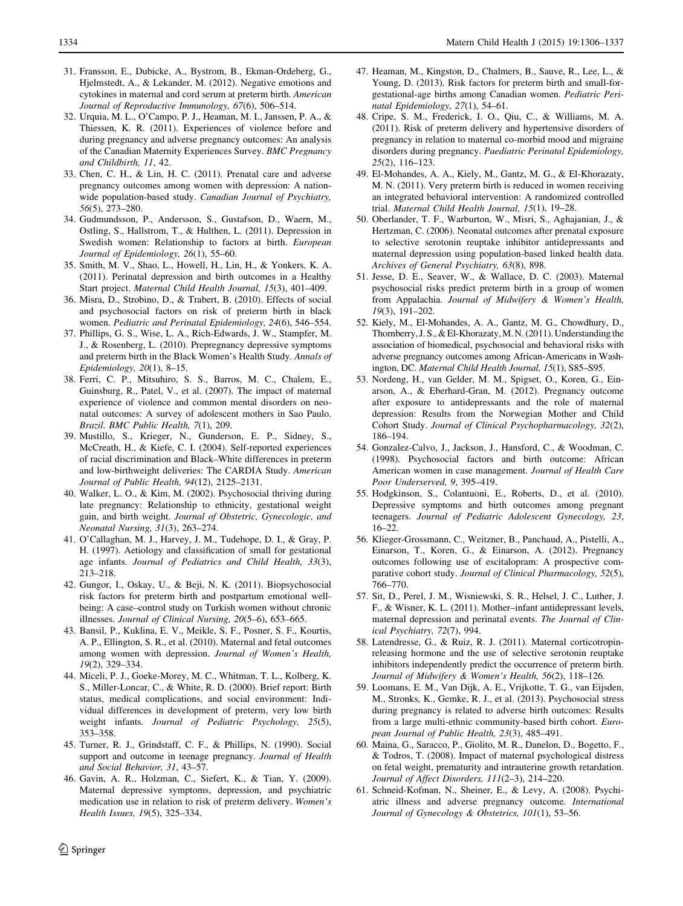- <span id="page-28-0"></span>31. Fransson, E., Dubicke, A., Bystrom, B., Ekman-Ordeberg, G., Hjelmstedt, A., & Lekander, M. (2012). Negative emotions and cytokines in maternal and cord serum at preterm birth. American Journal of Reproductive Immunology, 67(6), 506–514.
- 32. Urquia, M. L., O'Campo, P. J., Heaman, M. I., Janssen, P. A., & Thiessen, K. R. (2011). Experiences of violence before and during pregnancy and adverse pregnancy outcomes: An analysis of the Canadian Maternity Experiences Survey. BMC Pregnancy and Childbirth, 11, 42.
- 33. Chen, C. H., & Lin, H. C. (2011). Prenatal care and adverse pregnancy outcomes among women with depression: A nationwide population-based study. Canadian Journal of Psychiatry, 56(5), 273–280.
- 34. Gudmundsson, P., Andersson, S., Gustafson, D., Waern, M., Ostling, S., Hallstrom, T., & Hulthen, L. (2011). Depression in Swedish women: Relationship to factors at birth. European Journal of Epidemiology, 26(1), 55–60.
- 35. Smith, M. V., Shao, L., Howell, H., Lin, H., & Yonkers, K. A. (2011). Perinatal depression and birth outcomes in a Healthy Start project. Maternal Child Health Journal, 15(3), 401–409.
- 36. Misra, D., Strobino, D., & Trabert, B. (2010). Effects of social and psychosocial factors on risk of preterm birth in black women. Pediatric and Perinatal Epidemiology, 24(6), 546–554.
- 37. Phillips, G. S., Wise, L. A., Rich-Edwards, J. W., Stampfer, M. J., & Rosenberg, L. (2010). Prepregnancy depressive symptoms and preterm birth in the Black Women's Health Study. Annals of Epidemiology, 20(1), 8–15.
- 38. Ferri, C. P., Mitsuhiro, S. S., Barros, M. C., Chalem, E., Guinsburg, R., Patel, V., et al. (2007). The impact of maternal experience of violence and common mental disorders on neonatal outcomes: A survey of adolescent mothers in Sao Paulo. Brazil. BMC Public Health, 7(1), 209.
- 39. Mustillo, S., Krieger, N., Gunderson, E. P., Sidney, S., McCreath, H., & Kiefe, C. I. (2004). Self-reported experiences of racial discrimination and Black–White differences in preterm and low-birthweight deliveries: The CARDIA Study. American Journal of Public Health, 94(12), 2125–2131.
- 40. Walker, L. O., & Kim, M. (2002). Psychosocial thriving during late pregnancy: Relationship to ethnicity, gestational weight gain, and birth weight. Journal of Obstetric, Gynecologic, and Neonatal Nursing, 31(3), 263–274.
- 41. O'Callaghan, M. J., Harvey, J. M., Tudehope, D. I., & Gray, P. H. (1997). Aetiology and classification of small for gestational age infants. Journal of Pediatrics and Child Health, 33(3), 213–218.
- 42. Gungor, I., Oskay, U., & Beji, N. K. (2011). Biopsychosocial risk factors for preterm birth and postpartum emotional wellbeing: A case–control study on Turkish women without chronic illnesses. Journal of Clinical Nursing, 20(5–6), 653–665.
- 43. Bansil, P., Kuklina, E. V., Meikle, S. F., Posner, S. F., Kourtis, A. P., Ellington, S. R., et al. (2010). Maternal and fetal outcomes among women with depression. Journal of Women's Health, 19(2), 329–334.
- 44. Miceli, P. J., Goeke-Morey, M. C., Whitman, T. L., Kolberg, K. S., Miller-Loncar, C., & White, R. D. (2000). Brief report: Birth status, medical complications, and social environment: Individual differences in development of preterm, very low birth weight infants. *Journal of Pediatric Psychology*, 25(5), 353–358.
- 45. Turner, R. J., Grindstaff, C. F., & Phillips, N. (1990). Social support and outcome in teenage pregnancy. Journal of Health and Social Behavior, 31, 43–57.
- 46. Gavin, A. R., Holzman, C., Siefert, K., & Tian, Y. (2009). Maternal depressive symptoms, depression, and psychiatric medication use in relation to risk of preterm delivery. Women's Health Issues, 19(5), 325–334.
- 47. Heaman, M., Kingston, D., Chalmers, B., Sauve, R., Lee, L., & Young, D. (2013). Risk factors for preterm birth and small-forgestational-age births among Canadian women. Pediatric Perinatal Epidemiology, 27(1), 54–61.
- 48. Cripe, S. M., Frederick, I. O., Qiu, C., & Williams, M. A. (2011). Risk of preterm delivery and hypertensive disorders of pregnancy in relation to maternal co-morbid mood and migraine disorders during pregnancy. Paediatric Perinatal Epidemiology, 25(2), 116–123.
- 49. El-Mohandes, A. A., Kiely, M., Gantz, M. G., & El-Khorazaty, M. N. (2011). Very preterm birth is reduced in women receiving an integrated behavioral intervention: A randomized controlled trial. Maternal Child Health Journal, 15(1), 19–28.
- 50. Oberlander, T. F., Warburton, W., Misri, S., Aghajanian, J., & Hertzman, C. (2006). Neonatal outcomes after prenatal exposure to selective serotonin reuptake inhibitor antidepressants and maternal depression using population-based linked health data. Archives of General Psychiatry, 63(8), 898.
- 51. Jesse, D. E., Seaver, W., & Wallace, D. C. (2003). Maternal psychosocial risks predict preterm birth in a group of women from Appalachia. Journal of Midwifery & Women's Health, 19(3), 191–202.
- 52. Kiely, M., El-Mohandes, A. A., Gantz, M. G., Chowdhury, D., Thornberry, J. S., & El-Khorazaty, M. N. (2011). Understanding the association of biomedical, psychosocial and behavioral risks with adverse pregnancy outcomes among African-Americans in Washington, DC. Maternal Child Health Journal, 15(1), S85–S95.
- 53. Nordeng, H., van Gelder, M. M., Spigset, O., Koren, G., Einarson, A., & Eberhard-Gran, M. (2012). Pregnancy outcome after exposure to antidepressants and the role of maternal depression: Results from the Norwegian Mother and Child Cohort Study. Journal of Clinical Psychopharmacology, 32(2), 186–194.
- 54. Gonzalez-Calvo, J., Jackson, J., Hansford, C., & Woodman, C. (1998). Psychosocial factors and birth outcome: African American women in case management. Journal of Health Care Poor Underserved, 9, 395–419.
- 55. Hodgkinson, S., Colantuoni, E., Roberts, D., et al. (2010). Depressive symptoms and birth outcomes among pregnant teenagers. Journal of Pediatric Adolescent Gynecology, 23, 16–22.
- 56. Klieger-Grossmann, C., Weitzner, B., Panchaud, A., Pistelli, A., Einarson, T., Koren, G., & Einarson, A. (2012). Pregnancy outcomes following use of escitalopram: A prospective comparative cohort study. Journal of Clinical Pharmacology, 52(5), 766–770.
- 57. Sit, D., Perel, J. M., Wisniewski, S. R., Helsel, J. C., Luther, J. F., & Wisner, K. L. (2011). Mother–infant antidepressant levels, maternal depression and perinatal events. The Journal of Clinical Psychiatry, 72(7), 994.
- 58. Latendresse, G., & Ruiz, R. J. (2011). Maternal corticotropinreleasing hormone and the use of selective serotonin reuptake inhibitors independently predict the occurrence of preterm birth. Journal of Midwifery & Women's Health, 56(2), 118–126.
- 59. Loomans, E. M., Van Dijk, A. E., Vrijkotte, T. G., van Eijsden, M., Stronks, K., Gemke, R. J., et al. (2013). Psychosocial stress during pregnancy is related to adverse birth outcomes: Results from a large multi-ethnic community-based birth cohort. European Journal of Public Health, 23(3), 485–491.
- 60. Maina, G., Saracco, P., Giolito, M. R., Danelon, D., Bogetto, F., & Todros, T. (2008). Impact of maternal psychological distress on fetal weight, prematurity and intrauterine growth retardation. Journal of Affect Disorders, 111(2–3), 214–220.
- 61. Schneid-Kofman, N., Sheiner, E., & Levy, A. (2008). Psychiatric illness and adverse pregnancy outcome. International Journal of Gynecology & Obstetrics, 101(1), 53-56.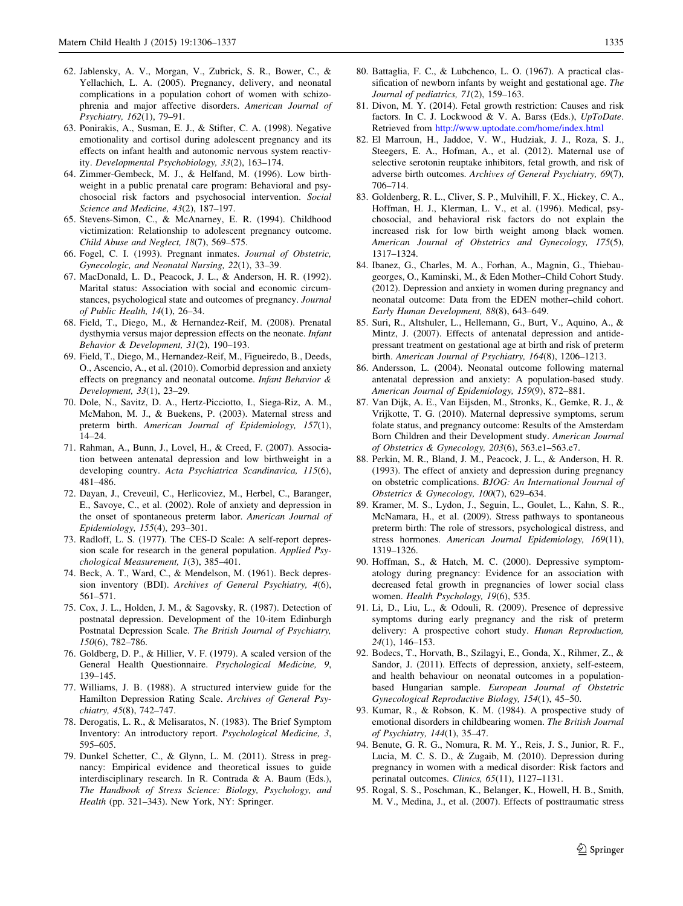- <span id="page-29-0"></span>62. Jablensky, A. V., Morgan, V., Zubrick, S. R., Bower, C., & Yellachich, L. A. (2005). Pregnancy, delivery, and neonatal complications in a population cohort of women with schizophrenia and major affective disorders. American Journal of Psychiatry, 162(1), 79–91.
- 63. Ponirakis, A., Susman, E. J., & Stifter, C. A. (1998). Negative emotionality and cortisol during adolescent pregnancy and its effects on infant health and autonomic nervous system reactivity. Developmental Psychobiology, 33(2), 163–174.
- 64. Zimmer-Gembeck, M. J., & Helfand, M. (1996). Low birthweight in a public prenatal care program: Behavioral and psychosocial risk factors and psychosocial intervention. Social Science and Medicine, 43(2), 187–197.
- 65. Stevens-Simon, C., & McAnarney, E. R. (1994). Childhood victimization: Relationship to adolescent pregnancy outcome. Child Abuse and Neglect, 18(7), 569–575.
- 66. Fogel, C. I. (1993). Pregnant inmates. Journal of Obstetric, Gynecologic, and Neonatal Nursing, 22(1), 33–39.
- 67. MacDonald, L. D., Peacock, J. L., & Anderson, H. R. (1992). Marital status: Association with social and economic circumstances, psychological state and outcomes of pregnancy. Journal of Public Health, 14(1), 26–34.
- 68. Field, T., Diego, M., & Hernandez-Reif, M. (2008). Prenatal dysthymia versus major depression effects on the neonate. Infant Behavior & Development, 31(2), 190–193.
- 69. Field, T., Diego, M., Hernandez-Reif, M., Figueiredo, B., Deeds, O., Ascencio, A., et al. (2010). Comorbid depression and anxiety effects on pregnancy and neonatal outcome. Infant Behavior & Development, 33(1), 23–29.
- 70. Dole, N., Savitz, D. A., Hertz-Picciotto, I., Siega-Riz, A. M., McMahon, M. J., & Buekens, P. (2003). Maternal stress and preterm birth. American Journal of Epidemiology, 157(1), 14–24.
- 71. Rahman, A., Bunn, J., Lovel, H., & Creed, F. (2007). Association between antenatal depression and low birthweight in a developing country. Acta Psychiatrica Scandinavica, 115(6), 481–486.
- 72. Dayan, J., Creveuil, C., Herlicoviez, M., Herbel, C., Baranger, E., Savoye, C., et al. (2002). Role of anxiety and depression in the onset of spontaneous preterm labor. American Journal of Epidemiology, 155(4), 293–301.
- 73. Radloff, L. S. (1977). The CES-D Scale: A self-report depression scale for research in the general population. Applied Psychological Measurement, 1(3), 385–401.
- 74. Beck, A. T., Ward, C., & Mendelson, M. (1961). Beck depression inventory (BDI). Archives of General Psychiatry, 4(6), 561–571.
- 75. Cox, J. L., Holden, J. M., & Sagovsky, R. (1987). Detection of postnatal depression. Development of the 10-item Edinburgh Postnatal Depression Scale. The British Journal of Psychiatry, 150(6), 782–786.
- 76. Goldberg, D. P., & Hillier, V. F. (1979). A scaled version of the General Health Questionnaire. Psychological Medicine, 9, 139–145.
- 77. Williams, J. B. (1988). A structured interview guide for the Hamilton Depression Rating Scale. Archives of General Psychiatry, 45(8), 742–747.
- 78. Derogatis, L. R., & Melisaratos, N. (1983). The Brief Symptom Inventory: An introductory report. Psychological Medicine, 3, 595–605.
- 79. Dunkel Schetter, C., & Glynn, L. M. (2011). Stress in pregnancy: Empirical evidence and theoretical issues to guide interdisciplinary research. In R. Contrada & A. Baum (Eds.), The Handbook of Stress Science: Biology, Psychology, and Health (pp. 321–343). New York, NY: Springer.
- 80. Battaglia, F. C., & Lubchenco, L. O. (1967). A practical classification of newborn infants by weight and gestational age. The Journal of pediatrics, 71(2), 159–163.
- 81. Divon, M. Y. (2014). Fetal growth restriction: Causes and risk factors. In C. J. Lockwood & V. A. Barss (Eds.), UpToDate. Retrieved from <http://www.uptodate.com/home/index.html>
- 82. El Marroun, H., Jaddoe, V. W., Hudziak, J. J., Roza, S. J., Steegers, E. A., Hofman, A., et al. (2012). Maternal use of selective serotonin reuptake inhibitors, fetal growth, and risk of adverse birth outcomes. Archives of General Psychiatry, 69(7), 706–714.
- 83. Goldenberg, R. L., Cliver, S. P., Mulvihill, F. X., Hickey, C. A., Hoffman, H. J., Klerman, L. V., et al. (1996). Medical, psychosocial, and behavioral risk factors do not explain the increased risk for low birth weight among black women. American Journal of Obstetrics and Gynecology, 175(5), 1317–1324.
- 84. Ibanez, G., Charles, M. A., Forhan, A., Magnin, G., Thiebaugeorges, O., Kaminski, M., & Eden Mother–Child Cohort Study. (2012). Depression and anxiety in women during pregnancy and neonatal outcome: Data from the EDEN mother–child cohort. Early Human Development, 88(8), 643–649.
- 85. Suri, R., Altshuler, L., Hellemann, G., Burt, V., Aquino, A., & Mintz, J. (2007). Effects of antenatal depression and antidepressant treatment on gestational age at birth and risk of preterm birth. American Journal of Psychiatry, 164(8), 1206–1213.
- 86. Andersson, L. (2004). Neonatal outcome following maternal antenatal depression and anxiety: A population-based study. American Journal of Epidemiology, 159(9), 872–881.
- 87. Van Dijk, A. E., Van Eijsden, M., Stronks, K., Gemke, R. J., & Vrijkotte, T. G. (2010). Maternal depressive symptoms, serum folate status, and pregnancy outcome: Results of the Amsterdam Born Children and their Development study. American Journal of Obstetrics & Gynecology, 203(6), 563.e1–563.e7.
- 88. Perkin, M. R., Bland, J. M., Peacock, J. L., & Anderson, H. R. (1993). The effect of anxiety and depression during pregnancy on obstetric complications. BJOG: An International Journal of Obstetrics & Gynecology, 100(7), 629–634.
- 89. Kramer, M. S., Lydon, J., Seguin, L., Goulet, L., Kahn, S. R., McNamara, H., et al. (2009). Stress pathways to spontaneous preterm birth: The role of stressors, psychological distress, and stress hormones. American Journal Epidemiology, 169(11), 1319–1326.
- 90. Hoffman, S., & Hatch, M. C. (2000). Depressive symptomatology during pregnancy: Evidence for an association with decreased fetal growth in pregnancies of lower social class women. Health Psychology, 19(6), 535.
- 91. Li, D., Liu, L., & Odouli, R. (2009). Presence of depressive symptoms during early pregnancy and the risk of preterm delivery: A prospective cohort study. Human Reproduction, 24(1), 146–153.
- 92. Bodecs, T., Horvath, B., Szilagyi, E., Gonda, X., Rihmer, Z., & Sandor, J. (2011). Effects of depression, anxiety, self-esteem, and health behaviour on neonatal outcomes in a populationbased Hungarian sample. European Journal of Obstetric Gynecological Reproductive Biology, 154(1), 45–50.
- 93. Kumar, R., & Robson, K. M. (1984). A prospective study of emotional disorders in childbearing women. The British Journal of Psychiatry, 144(1), 35–47.
- 94. Benute, G. R. G., Nomura, R. M. Y., Reis, J. S., Junior, R. F., Lucia, M. C. S. D., & Zugaib, M. (2010). Depression during pregnancy in women with a medical disorder: Risk factors and perinatal outcomes. Clinics, 65(11), 1127–1131.
- 95. Rogal, S. S., Poschman, K., Belanger, K., Howell, H. B., Smith, M. V., Medina, J., et al. (2007). Effects of posttraumatic stress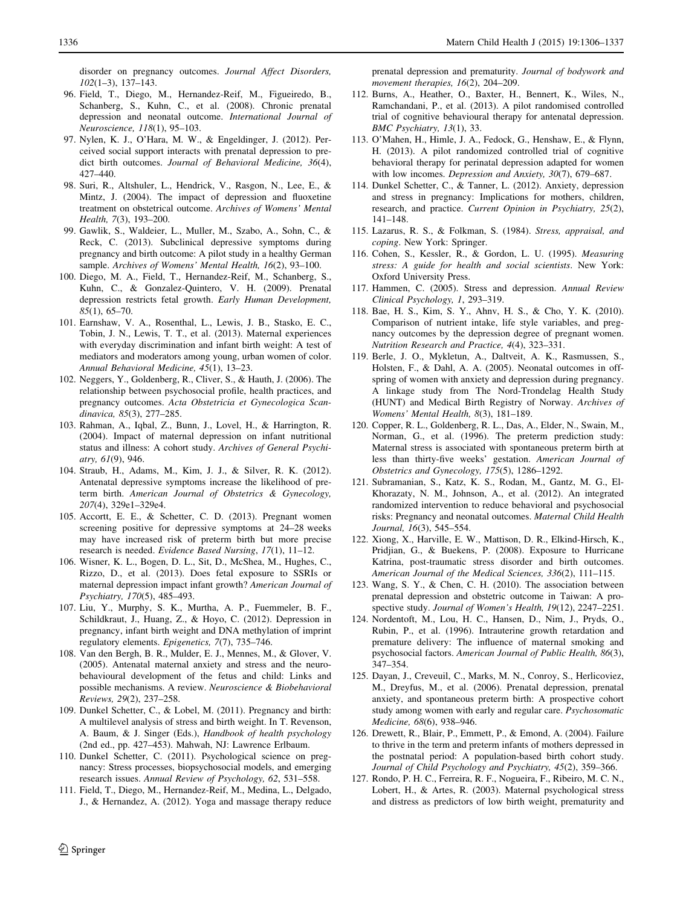<span id="page-30-0"></span>disorder on pregnancy outcomes. Journal Affect Disorders, 102(1–3), 137–143.

- 96. Field, T., Diego, M., Hernandez-Reif, M., Figueiredo, B., Schanberg, S., Kuhn, C., et al. (2008). Chronic prenatal depression and neonatal outcome. International Journal of Neuroscience, 118(1), 95–103.
- 97. Nylen, K. J., O'Hara, M. W., & Engeldinger, J. (2012). Perceived social support interacts with prenatal depression to predict birth outcomes. Journal of Behavioral Medicine, 36(4), 427–440.
- 98. Suri, R., Altshuler, L., Hendrick, V., Rasgon, N., Lee, E., & Mintz, J. (2004). The impact of depression and fluoxetine treatment on obstetrical outcome. Archives of Womens' Mental Health, 7(3), 193–200.
- 99. Gawlik, S., Waldeier, L., Muller, M., Szabo, A., Sohn, C., & Reck, C. (2013). Subclinical depressive symptoms during pregnancy and birth outcome: A pilot study in a healthy German sample. Archives of Womens' Mental Health, 16(2), 93–100.
- 100. Diego, M. A., Field, T., Hernandez-Reif, M., Schanberg, S., Kuhn, C., & Gonzalez-Quintero, V. H. (2009). Prenatal depression restricts fetal growth. Early Human Development, 85(1), 65–70.
- 101. Earnshaw, V. A., Rosenthal, L., Lewis, J. B., Stasko, E. C., Tobin, J. N., Lewis, T. T., et al. (2013). Maternal experiences with everyday discrimination and infant birth weight: A test of mediators and moderators among young, urban women of color. Annual Behavioral Medicine, 45(1), 13–23.
- 102. Neggers, Y., Goldenberg, R., Cliver, S., & Hauth, J. (2006). The relationship between psychosocial profile, health practices, and pregnancy outcomes. Acta Obstetricia et Gynecologica Scandinavica, 85(3), 277–285.
- 103. Rahman, A., Iqbal, Z., Bunn, J., Lovel, H., & Harrington, R. (2004). Impact of maternal depression on infant nutritional status and illness: A cohort study. Archives of General Psychiatry, 61(9), 946.
- 104. Straub, H., Adams, M., Kim, J. J., & Silver, R. K. (2012). Antenatal depressive symptoms increase the likelihood of preterm birth. American Journal of Obstetrics & Gynecology, 207(4), 329e1–329e4.
- 105. Accortt, E. E., & Schetter, C. D. (2013). Pregnant women screening positive for depressive symptoms at 24–28 weeks may have increased risk of preterm birth but more precise research is needed. Evidence Based Nursing, 17(1), 11–12.
- 106. Wisner, K. L., Bogen, D. L., Sit, D., McShea, M., Hughes, C., Rizzo, D., et al. (2013). Does fetal exposure to SSRIs or maternal depression impact infant growth? American Journal of Psychiatry, 170(5), 485–493.
- 107. Liu, Y., Murphy, S. K., Murtha, A. P., Fuemmeler, B. F., Schildkraut, J., Huang, Z., & Hoyo, C. (2012). Depression in pregnancy, infant birth weight and DNA methylation of imprint regulatory elements. Epigenetics, 7(7), 735–746.
- 108. Van den Bergh, B. R., Mulder, E. J., Mennes, M., & Glover, V. (2005). Antenatal maternal anxiety and stress and the neurobehavioural development of the fetus and child: Links and possible mechanisms. A review. Neuroscience & Biobehavioral Reviews, 29(2), 237–258.
- 109. Dunkel Schetter, C., & Lobel, M. (2011). Pregnancy and birth: A multilevel analysis of stress and birth weight. In T. Revenson, A. Baum, & J. Singer (Eds.), Handbook of health psychology (2nd ed., pp. 427–453). Mahwah, NJ: Lawrence Erlbaum.
- 110. Dunkel Schetter, C. (2011). Psychological science on pregnancy: Stress processes, biopsychosocial models, and emerging research issues. Annual Review of Psychology, 62, 531–558.
- 111. Field, T., Diego, M., Hernandez-Reif, M., Medina, L., Delgado, J., & Hernandez, A. (2012). Yoga and massage therapy reduce

prenatal depression and prematurity. Journal of bodywork and movement therapies, 16(2), 204-209.

- 112. Burns, A., Heather, O., Baxter, H., Bennert, K., Wiles, N., Ramchandani, P., et al. (2013). A pilot randomised controlled trial of cognitive behavioural therapy for antenatal depression. BMC Psychiatry, 13(1), 33.
- 113. O'Mahen, H., Himle, J. A., Fedock, G., Henshaw, E., & Flynn, H. (2013). A pilot randomized controlled trial of cognitive behavioral therapy for perinatal depression adapted for women with low incomes. Depression and Anxiety, 30(7), 679–687.
- 114. Dunkel Schetter, C., & Tanner, L. (2012). Anxiety, depression and stress in pregnancy: Implications for mothers, children, research, and practice. Current Opinion in Psychiatry, 25(2), 141–148.
- 115. Lazarus, R. S., & Folkman, S. (1984). Stress, appraisal, and coping. New York: Springer.
- 116. Cohen, S., Kessler, R., & Gordon, L. U. (1995). Measuring stress: A guide for health and social scientists. New York: Oxford University Press.
- 117. Hammen, C. (2005). Stress and depression. Annual Review Clinical Psychology, 1, 293–319.
- 118. Bae, H. S., Kim, S. Y., Ahnv, H. S., & Cho, Y. K. (2010). Comparison of nutrient intake, life style variables, and pregnancy outcomes by the depression degree of pregnant women. Nutrition Research and Practice, 4(4), 323–331.
- 119. Berle, J. O., Mykletun, A., Daltveit, A. K., Rasmussen, S., Holsten, F., & Dahl, A. A. (2005). Neonatal outcomes in offspring of women with anxiety and depression during pregnancy. A linkage study from The Nord-Trondelag Health Study (HUNT) and Medical Birth Registry of Norway. Archives of Womens' Mental Health, 8(3), 181–189.
- 120. Copper, R. L., Goldenberg, R. L., Das, A., Elder, N., Swain, M., Norman, G., et al. (1996). The preterm prediction study: Maternal stress is associated with spontaneous preterm birth at less than thirty-five weeks' gestation. American Journal of Obstetrics and Gynecology, 175(5), 1286–1292.
- 121. Subramanian, S., Katz, K. S., Rodan, M., Gantz, M. G., El-Khorazaty, N. M., Johnson, A., et al. (2012). An integrated randomized intervention to reduce behavioral and psychosocial risks: Pregnancy and neonatal outcomes. Maternal Child Health Journal, 16(3), 545–554.
- 122. Xiong, X., Harville, E. W., Mattison, D. R., Elkind-Hirsch, K., Pridjian, G., & Buekens, P. (2008). Exposure to Hurricane Katrina, post-traumatic stress disorder and birth outcomes. American Journal of the Medical Sciences, 336(2), 111–115.
- 123. Wang, S. Y., & Chen, C. H. (2010). The association between prenatal depression and obstetric outcome in Taiwan: A prospective study. Journal of Women's Health, 19(12), 2247–2251.
- 124. Nordentoft, M., Lou, H. C., Hansen, D., Nim, J., Pryds, O., Rubin, P., et al. (1996). Intrauterine growth retardation and premature delivery: The influence of maternal smoking and psychosocial factors. American Journal of Public Health, 86(3), 347–354.
- 125. Dayan, J., Creveuil, C., Marks, M. N., Conroy, S., Herlicoviez, M., Dreyfus, M., et al. (2006). Prenatal depression, prenatal anxiety, and spontaneous preterm birth: A prospective cohort study among women with early and regular care. Psychosomatic Medicine, 68(6), 938–946.
- 126. Drewett, R., Blair, P., Emmett, P., & Emond, A. (2004). Failure to thrive in the term and preterm infants of mothers depressed in the postnatal period: A population-based birth cohort study. Journal of Child Psychology and Psychiatry, 45(2), 359–366.
- 127. Rondo, P. H. C., Ferreira, R. F., Nogueira, F., Ribeiro, M. C. N., Lobert, H., & Artes, R. (2003). Maternal psychological stress and distress as predictors of low birth weight, prematurity and